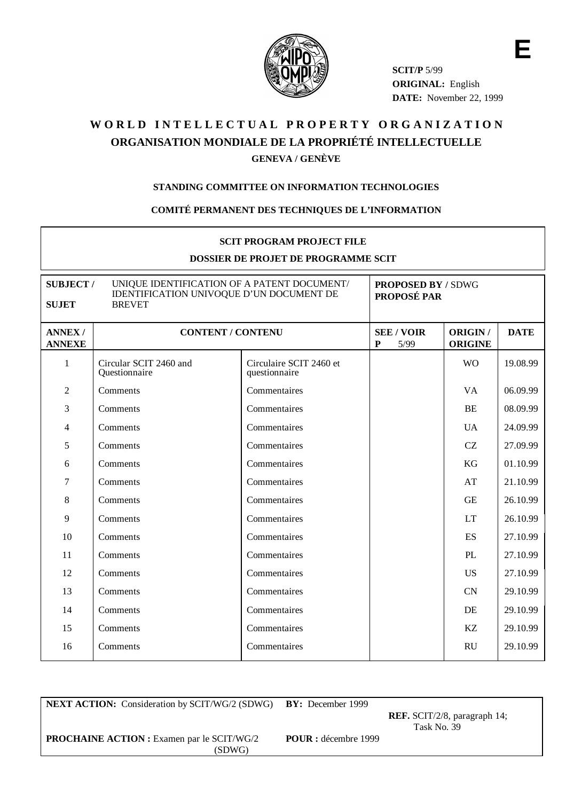

**SCIT/P** 5/99 **ORIGINAL:** English **DATE:** November 22, 1999 **E**

# WORLD INTELLECTUAL PROPERTY ORGANIZATION **ORGANISATION MONDIALE DE LA PROPRIÉTÉ INTELLECTUELLE GENEVA / GENÈVE**

#### **STANDING COMMITTEE ON INFORMATION TECHNOLOGIES**

#### **COMITÉ PERMANENT DES TECHNIQUES DE L'INFORMATION**

#### **SCIT PROGRAM PROJECT FILE**

#### **DOSSIER DE PROJET DE PROGRAMME SCIT**

| UNIQUE IDENTIFICATION OF A PATENT DOCUMENT/<br><b>SUBJECT/</b><br>IDENTIFICATION UNIVOQUE D'UN DOCUMENT DE<br><b>SUJET</b><br><b>BREVET</b> |                                         |                                          | <b>PROPOSED BY / SDWG</b><br>PROPOSÉ PAR |                           |             |
|---------------------------------------------------------------------------------------------------------------------------------------------|-----------------------------------------|------------------------------------------|------------------------------------------|---------------------------|-------------|
| <b>ANNEX/</b><br><b>ANNEXE</b>                                                                                                              | <b>CONTENT / CONTENU</b>                |                                          | <b>SEE / VOIR</b><br>5/99<br>P           | ORIGIN/<br><b>ORIGINE</b> | <b>DATE</b> |
| $\mathbf{1}$                                                                                                                                | Circular SCIT 2460 and<br>Questionnaire | Circulaire SCIT 2460 et<br>questionnaire |                                          | <b>WO</b>                 | 19.08.99    |
| $\overline{2}$                                                                                                                              | Comments                                | Commentaires                             |                                          | <b>VA</b>                 | 06.09.99    |
| 3                                                                                                                                           | Comments                                | Commentaires                             |                                          | <b>BE</b>                 | 08.09.99    |
| $\overline{4}$                                                                                                                              | Comments                                | Commentaires                             |                                          | <b>UA</b>                 | 24.09.99    |
| 5                                                                                                                                           | Comments                                | Commentaires                             |                                          | CZ                        | 27.09.99    |
| 6                                                                                                                                           | Comments                                | Commentaires                             |                                          | KG                        | 01.10.99    |
| 7                                                                                                                                           | Comments                                | Commentaires                             |                                          | AT                        | 21.10.99    |
| 8                                                                                                                                           | Comments                                | Commentaires                             |                                          | <b>GE</b>                 | 26.10.99    |
| 9                                                                                                                                           | Comments                                | Commentaires                             |                                          | <b>LT</b>                 | 26.10.99    |
| 10                                                                                                                                          | Comments                                | Commentaires                             |                                          | ES                        | 27.10.99    |
| 11                                                                                                                                          | Comments                                | Commentaires                             |                                          | PL                        | 27.10.99    |
| 12                                                                                                                                          | Comments                                | Commentaires                             |                                          | <b>US</b>                 | 27.10.99    |
| 13                                                                                                                                          | Comments                                | Commentaires                             |                                          | <b>CN</b>                 | 29.10.99    |
| 14                                                                                                                                          | Comments                                | Commentaires                             |                                          | DE                        | 29.10.99    |
| 15                                                                                                                                          | Comments                                | Commentaires                             |                                          | KZ                        | 29.10.99    |
| 16                                                                                                                                          | Comments                                | Commentaires                             |                                          | <b>RU</b>                 | 29.10.99    |

**NEXT ACTION:** Consideration by SCIT/WG/2 (SDWG) **BY:** December 1999

**REF.** SCIT/2/8, paragraph 14; Task No. 39

**PROCHAINE ACTION :** Examen par le SCIT/WG/2 **POUR :** décembre 1999

(SDWG)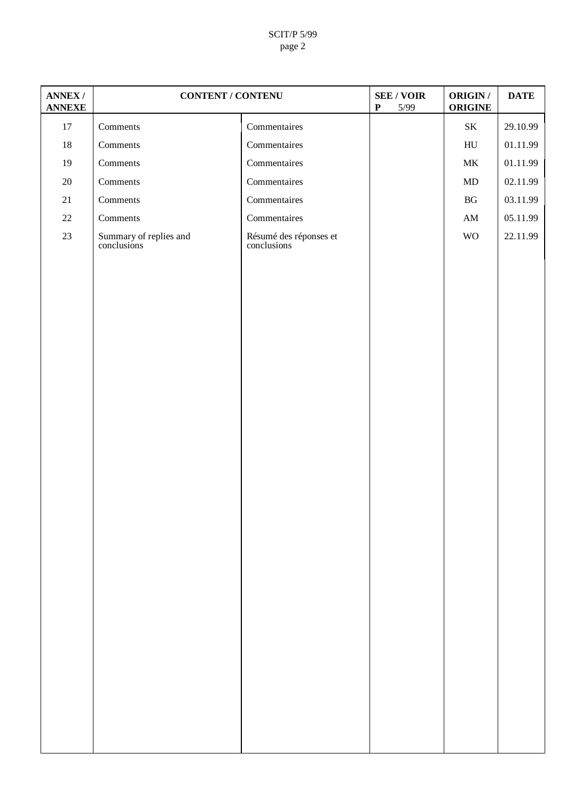#### SCIT/P 5/99 page 2

| <b>ANNEX/</b><br><b>ANNEXE</b> | <b>CONTENT / CONTENU</b>              |                                           | <b>SEE / VOIR</b><br>$\mathbf P$<br>5/99 | ORIGIN /<br><b>ORIGINE</b> | <b>DATE</b> |
|--------------------------------|---------------------------------------|-------------------------------------------|------------------------------------------|----------------------------|-------------|
| $17\,$                         | Comments                              | Commentaires                              |                                          | $\rm SK$                   | 29.10.99    |
| $18\,$                         | Comments                              | Commentaires                              |                                          | ${\rm H}{\rm U}$           | 01.11.99    |
| 19                             | Comments                              | Commentaires                              |                                          | $\rm MK$                   | 01.11.99    |
| $20\,$                         | Comments                              | Commentaires                              |                                          | MD                         | 02.11.99    |
| $21\,$                         | Comments                              | Commentaires                              |                                          | $\mathbf{B}\mathbf{G}$     | 03.11.99    |
| $22\,$                         | Comments                              | $\label{1.1} {\bf Comment}\ \text{aires}$ |                                          | $\mathbf{A}\mathbf{M}$     | 05.11.99    |
| $23\,$                         | Summary of replies and<br>conclusions | Résumé des réponses et<br>conclusions     |                                          | <b>WO</b>                  | 22.11.99    |
|                                |                                       |                                           |                                          |                            |             |
|                                |                                       |                                           |                                          |                            |             |
|                                |                                       |                                           |                                          |                            |             |
|                                |                                       |                                           |                                          |                            |             |
|                                |                                       |                                           |                                          |                            |             |
|                                |                                       |                                           |                                          |                            |             |
|                                |                                       |                                           |                                          |                            |             |
|                                |                                       |                                           |                                          |                            |             |
|                                |                                       |                                           |                                          |                            |             |
|                                |                                       |                                           |                                          |                            |             |
|                                |                                       |                                           |                                          |                            |             |
|                                |                                       |                                           |                                          |                            |             |
|                                |                                       |                                           |                                          |                            |             |
|                                |                                       |                                           |                                          |                            |             |
|                                |                                       |                                           |                                          |                            |             |
|                                |                                       |                                           |                                          |                            |             |
|                                |                                       |                                           |                                          |                            |             |
|                                |                                       |                                           |                                          |                            |             |
|                                |                                       |                                           |                                          |                            |             |
|                                |                                       |                                           |                                          |                            |             |
|                                |                                       |                                           |                                          |                            |             |
|                                |                                       |                                           |                                          |                            |             |
|                                |                                       |                                           |                                          |                            |             |
|                                |                                       |                                           |                                          |                            |             |
|                                |                                       |                                           |                                          |                            |             |
|                                |                                       |                                           |                                          |                            |             |
|                                |                                       |                                           |                                          |                            |             |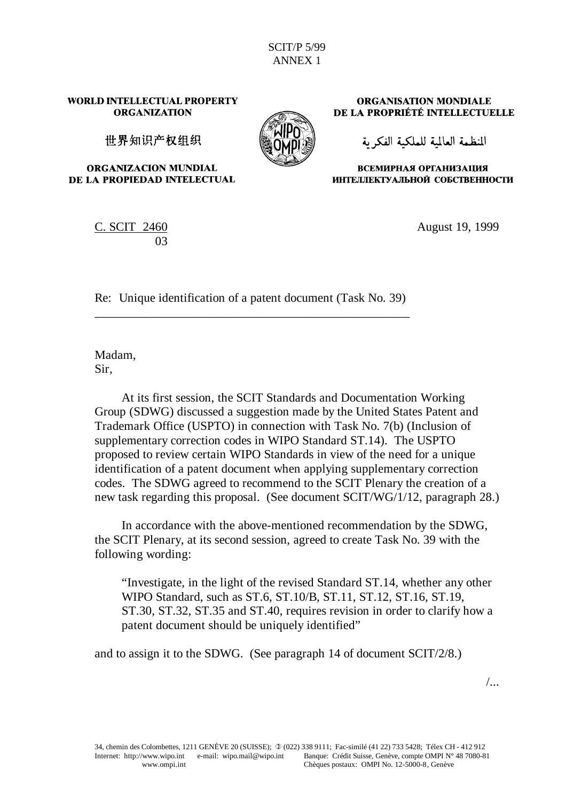#### WORLD INTELLECTUAL PROPERTY **ORGANIZATION**

世界知识产权组织

ORGANIZACION MUNDIAL DE LA PROPIEDAD INTELECTUAL

**ORGANISATION MONDIALE** DE LA PROPRIÉTÉ INTELLECTUELLE

المنظمة العالمة للملكية الفكر ية

ВСЕМИРНАЯ ОРГАНИЗАЦИЯ ИНТЕЛЛЕКТУАЛЬНОЙ СОБСТВЕННОСТИ

C. SCIT 2460 03

August 19, 1999

Re: Unique identification of a patent document (Task No. 39) \_\_\_\_\_\_\_\_\_\_\_\_\_\_\_\_\_\_\_\_\_\_\_\_\_\_\_\_\_\_\_\_\_\_\_\_\_\_\_\_\_\_\_\_\_\_\_\_\_\_\_

Madam, Sir,

At its first session, the SCIT Standards and Documentation Working Group (SDWG) discussed a suggestion made by the United States Patent and Trademark Office (USPTO) in connection with Task No. 7(b) (Inclusion of supplementary correction codes in WIPO Standard ST.14). The USPTO proposed to review certain WIPO Standards in view of the need for a unique identification of a patent document when applying supplementary correction codes. The SDWG agreed to recommend to the SCIT Plenary the creation of a new task regarding this proposal. (See document SCIT/WG/1/12, paragraph 28.)

In accordance with the above-mentioned recommendation by the SDWG, the SCIT Plenary, at its second session, agreed to create Task No. 39 with the following wording:

"Investigate, in the light of the revised Standard ST.14, whether any other WIPO Standard, such as ST.6, ST.10/B, ST.11, ST.12, ST.16, ST.19, ST.30, ST.32, ST.35 and ST.40, requires revision in order to clarify how a patent document should be uniquely identified"

and to assign it to the SDWG. (See paragraph 14 of document SCIT/2/8.)

/...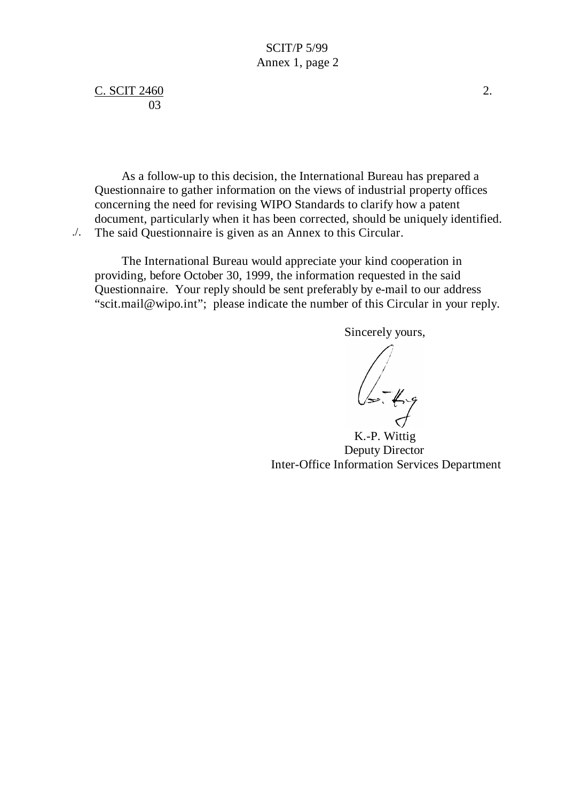C. SCIT 2460 2. 03

As a follow-up to this decision, the International Bureau has prepared a Questionnaire to gather information on the views of industrial property offices concerning the need for revising WIPO Standards to clarify how a patent document, particularly when it has been corrected, should be uniquely identified. The said Questionnaire is given as an Annex to this Circular. ./.

The International Bureau would appreciate your kind cooperation in providing, before October 30, 1999, the information requested in the said Questionnaire. Your reply should be sent preferably by e-mail to our address "scit.mail@wipo.int"; please indicate the number of this Circular in your reply.

Sincerely yours,

 $\sqrt{\sqrt{2\cdot\frac{1}{2}}\cdot\frac{1}{2\cdot\frac{1}{2}}\cdot\frac{1}{2\cdot\frac{1}{2}}}}$ 

K.-P. Wittig Deputy Director Inter-Office Information Services Department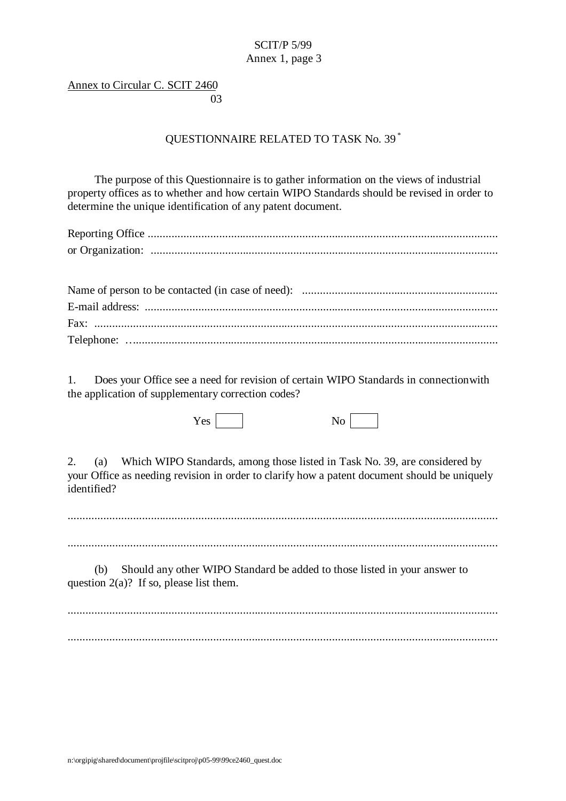## SCIT/P 5/99 Annex 1, page 3

## Annex to Circular C. SCIT 2460 and the contract of the contract of the contract of the contract of the contract of the contract of the contract of the contract of the contract of the contract of the contract of the contract of the contract of the contra

## QUESTIONNAIRE RELATED TO TASK No. 39 \*

The purpose of this Questionnaire is to gather information on the views of industrial property offices as to whether and how certain WIPO Standards should be revised in order to determine the unique identification of any patent document.

1. Does your Office see a need for revision of certain WIPO Standards in connection with the application of supplementary correction codes?

 $Yes \frown$  No  $No \frown$ 

2. (a) Which WIPO Standards, among those listed in Task No. 39, are considered by your Office as needing revision in order to clarify how a patent document should be uniquely identified?

.................................................................................................................................................

.................................................................................................................................................

(b) Should any other WIPO Standard be added to those listed in your answer to question  $2(a)$ ? If so, please list them.

................................................................................................................................................. .................................................................................................................................................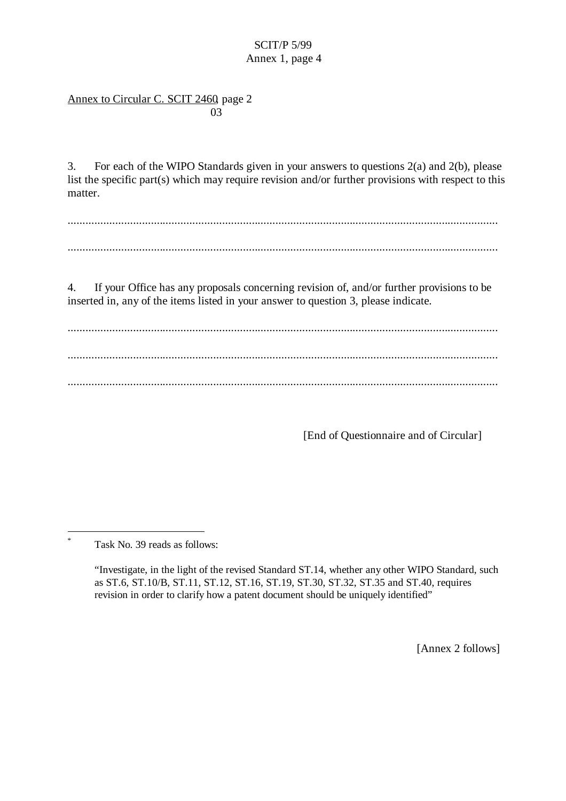# SCIT/P 5/99 Annex 1, page 4

## Annex to Circular C. SCIT 2460, page 2 and the contract of the contract of the contract of the contract of the contract of the contract of the contract of the contract of the contract of the contract of the contract of the contract of the contract of the contra

3. For each of the WIPO Standards given in your answers to questions 2(a) and 2(b), please list the specific part(s) which may require revision and/or further provisions with respect to this matter.

................................................................................................................................................. .................................................................................................................................................

4. If your Office has any proposals concerning revision of, and/or further provisions to be inserted in, any of the items listed in your answer to question 3, please indicate.

................................................................................................................................................. ................................................................................................................................................. .................................................................................................................................................

[End of Questionnaire and of Circular]

Task No. 39 reads as follows:

 $\overline{a}$ \*

> "Investigate, in the light of the revised Standard ST.14, whether any other WIPO Standard, such as ST.6, ST.10/B, ST.11, ST.12, ST.16, ST.19, ST.30, ST.32, ST.35 and ST.40, requires revision in order to clarify how a patent document should be uniquely identified"

> > [Annex 2 follows]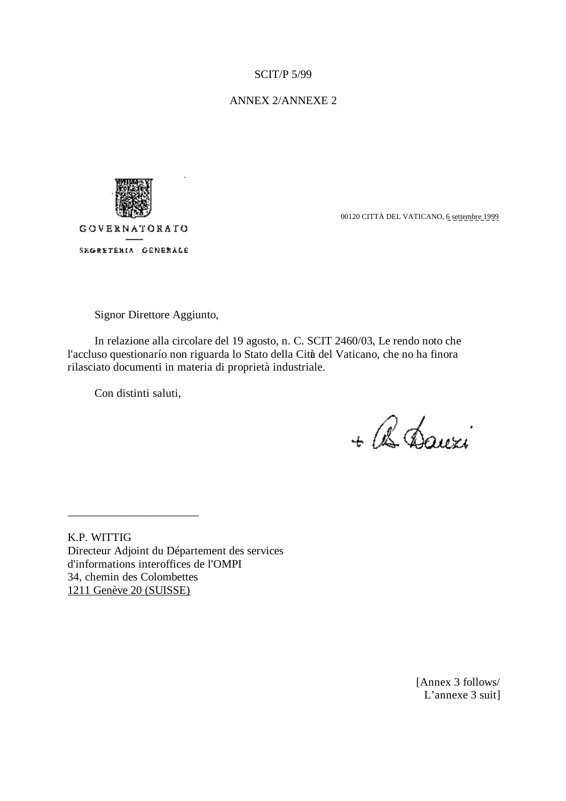## ANNEX 2/ANNEXE 2



SEGRETERIA GENERALE

00120 CITTÀ DEL VATICANO, 6 settembre 1999

Signor Direttore Aggiunto,

In relazione alla circolare del 19 agosto, n. C. SCIT 2460/03, Le rendo noto che l'accluso questionarío non riguarda lo Stato della Città del Vaticano, che no ha finora rilasciato documenti in materia di proprietà industriale.

Con distinti saluti,

\_\_\_\_\_\_\_\_\_\_\_\_\_\_\_\_\_\_\_\_\_\_\_

+ B Dauxi

K.P. WITTIG Directeur Adjoint du Département des services d'informations interoffices de l'OMPI 34, chemin des Colombettes 1211 Genève 20 (SUISSE)

> [Annex 3 follows/ L'annexe 3 suit]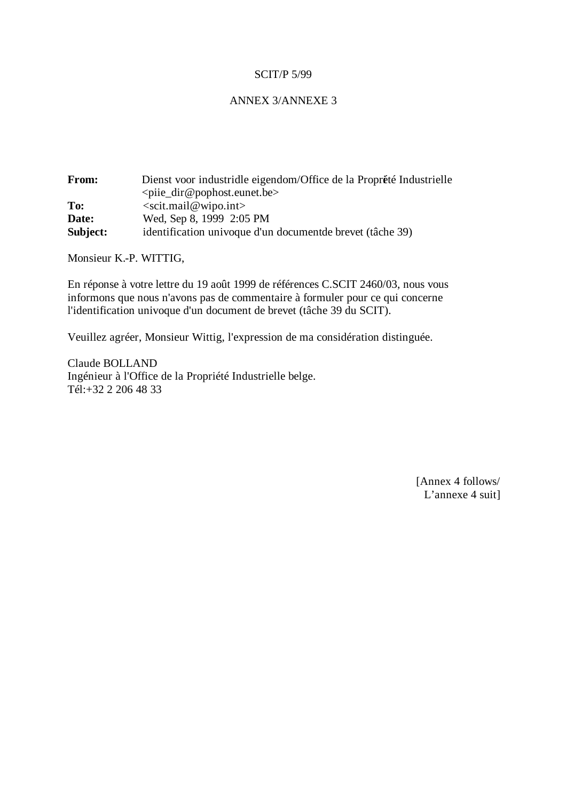## ANNEX 3/ANNEXE 3

| From:    | Dienst voor industridle eigendom/Office de la Proprété Industrielle |  |
|----------|---------------------------------------------------------------------|--|
|          | $\leq$ piie_dir@pophost.eunet.be>                                   |  |
| To:      | $\le$ scit.mail@wipo.int>                                           |  |
| Date:    | Wed, Sep 8, 1999 2:05 PM                                            |  |
| Subject: | identification univoque d'un document de brevet (tâche 39)          |  |

Monsieur K.-P. WITTIG,

En réponse à votre lettre du 19 août 1999 de références C.SCIT 2460/03, nous vous informons que nous n'avons pas de commentaire à formuler pour ce qui concerne l'identification univoque d'un document de brevet (tâche 39 du SCIT).

Veuillez agréer, Monsieur Wittig, l'expression de ma considération distinguée.

Claude BOLLAND Ingénieur à l'Office de la Propriété Industrielle belge. Tél:+32 2 206 48 33

> [Annex 4 follows/ L'annexe 4 suit]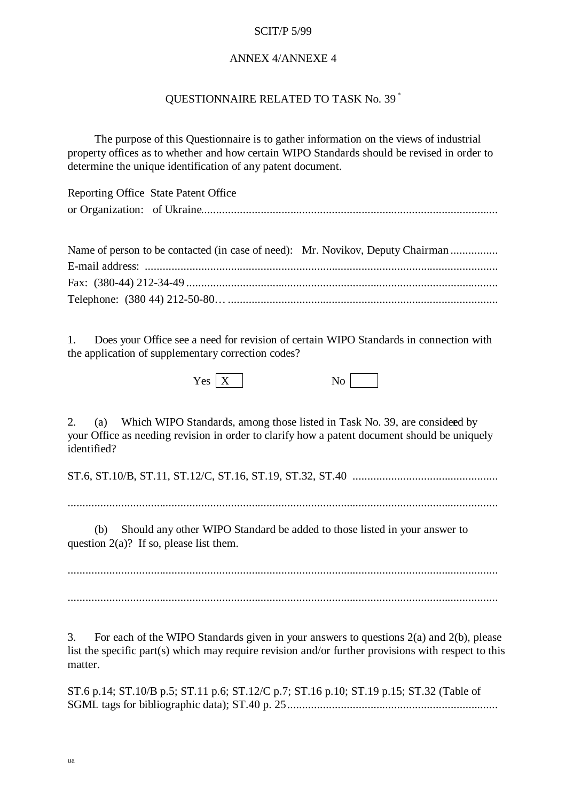### ANNEX 4/ANNEXE 4

## QUESTIONNAIRE RELATED TO TASK No. 39 \*

The purpose of this Questionnaire is to gather information on the views of industrial property offices as to whether and how certain WIPO Standards should be revised in order to determine the unique identification of any patent document.

| Reporting Office State Patent Office |
|--------------------------------------|
|                                      |

| Name of person to be contacted (in case of need): Mr. Novikov, Deputy Chairman |  |
|--------------------------------------------------------------------------------|--|
|                                                                                |  |
|                                                                                |  |
|                                                                                |  |

1. Does your Office see a need for revision of certain WIPO Standards in connection with the application of supplementary correction codes?

| τz<br>Y es | ◡<br>- |
|------------|--------|
|------------|--------|

2. (a) Which WIPO Standards, among those listed in Task No. 39, are considered by your Office as needing revision in order to clarify how a patent document should be uniquely identified?

ST.6, ST.10/B, ST.11, ST.12/C, ST.16, ST.19, ST.32, ST.40 .................................................

.................................................................................................................................................

(b) Should any other WIPO Standard be added to those listed in your answer to question  $2(a)$ ? If so, please list them.

................................................................................................................................................. .................................................................................................................................................

3. For each of the WIPO Standards given in your answers to questions 2(a) and 2(b), please list the specific part(s) which may require revision and/or further provisions with respect to this matter.

ST.6 p.14; ST.10/B p.5; ST.11 p.6; ST.12/C p.7; ST.16 p.10; ST.19 p.15; ST.32 (Table of SGML tags for bibliographic data); ST.40 p. 25 .......................................................................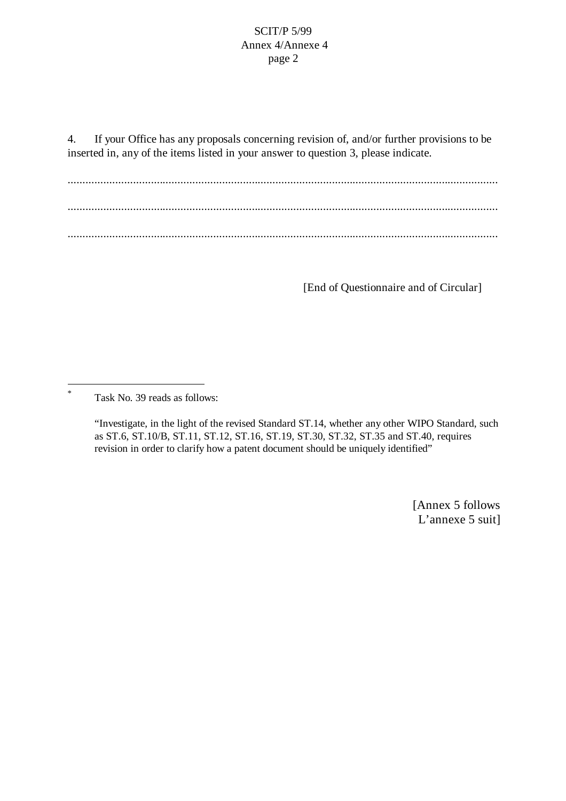4. If your Office has any proposals concerning revision of, and/or further provisions to be inserted in, any of the items listed in your answer to question 3, please indicate.

................................................................................................................................................. ................................................................................................................................................. .................................................................................................................................................

[End of Questionnaire and of Circular]

\* Task No. 39 reads as follows:

 $\overline{a}$ 

"Investigate, in the light of the revised Standard ST.14, whether any other WIPO Standard, such as ST.6, ST.10/B, ST.11, ST.12, ST.16, ST.19, ST.30, ST.32, ST.35 and ST.40, requires revision in order to clarify how a patent document should be uniquely identified"

> [Annex 5 follows L'annexe 5 suit]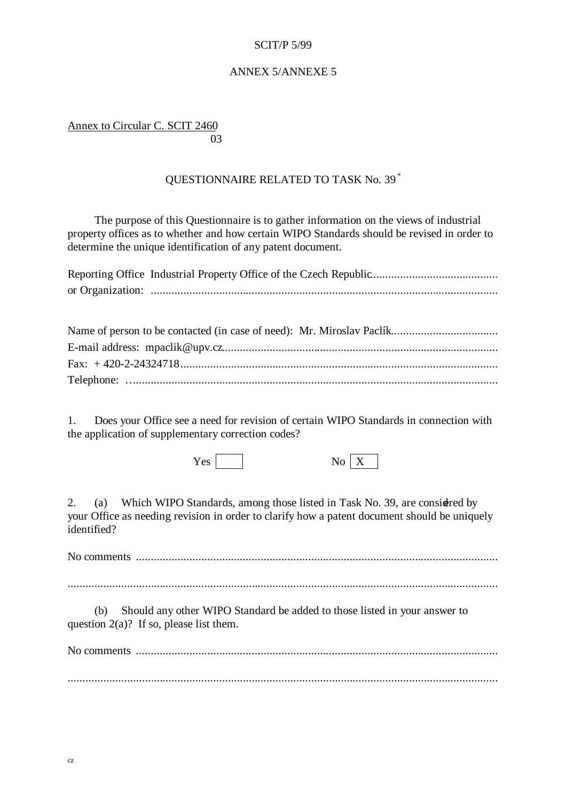## ANNEX 5/ANNEXE 5

Annex to Circular C. SCIT 2460 and the contract of the contract of the contract of the contract of the contract of the contract of the contract of the contract of the contract of the contract of the contract of the contract of the contract of the contra

# QUESTIONNAIRE RELATED TO TASK No. 39 \*

The purpose of this Questionnaire is to gather information on the views of industrial property offices as to whether and how certain WIPO Standards should be revised in order to determine the unique identification of any patent document.

1. Does your Office see a need for revision of certain WIPO Standards in connection with the application of supplementary correction codes?

 $Yes \fbox{No } X$ 

2. (a) Which WIPO Standards, among those listed in Task No. 39, are considered by your Office as needing revision in order to clarify how a patent document should be uniquely identified?

No comments ..........................................................................................................................

.................................................................................................................................................

(b) Should any other WIPO Standard be added to those listed in your answer to question  $2(a)$ ? If so, please list them.

No comments .......................................................................................................................... .................................................................................................................................................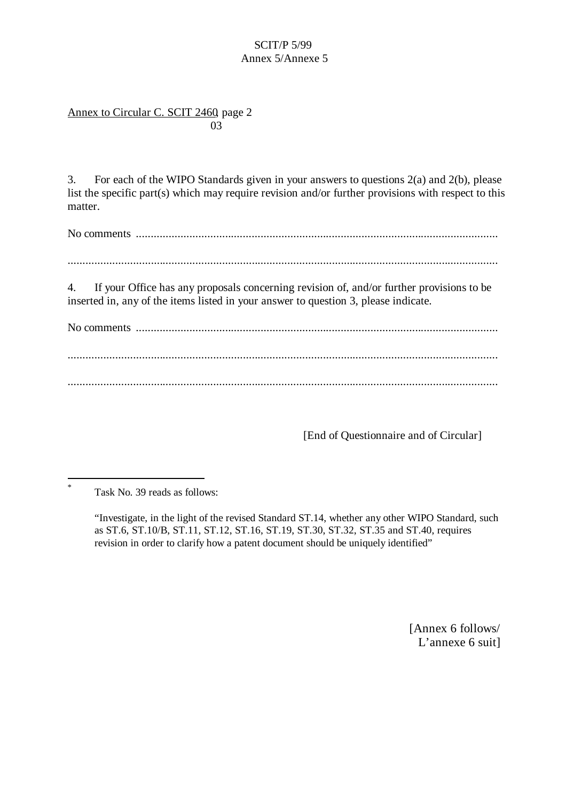## SCIT/P 5/99 Annex 5/Annexe 5

## Annex to Circular C. SCIT 2460, page 2 and the contract of the contract of the contract of the contract of the contract of the contract of the contract of the contract of the contract of the contract of the contract of the contract of the contract of the contra

3. For each of the WIPO Standards given in your answers to questions 2(a) and 2(b), please list the specific part(s) which may require revision and/or further provisions with respect to this matter.

No comments ..........................................................................................................................

.................................................................................................................................................

4. If your Office has any proposals concerning revision of, and/or further provisions to be inserted in, any of the items listed in your answer to question 3, please indicate.

No comments .......................................................................................................................... ................................................................................................................................................. .................................................................................................................................................

[End of Questionnaire and of Circular]

[Annex 6 follows/ L'annexe 6 suit]

<sup>\*</sup> Task No. 39 reads as follows:

<sup>&</sup>quot;Investigate, in the light of the revised Standard ST.14, whether any other WIPO Standard, such as ST.6, ST.10/B, ST.11, ST.12, ST.16, ST.19, ST.30, ST.32, ST.35 and ST.40, requires revision in order to clarify how a patent document should be uniquely identified"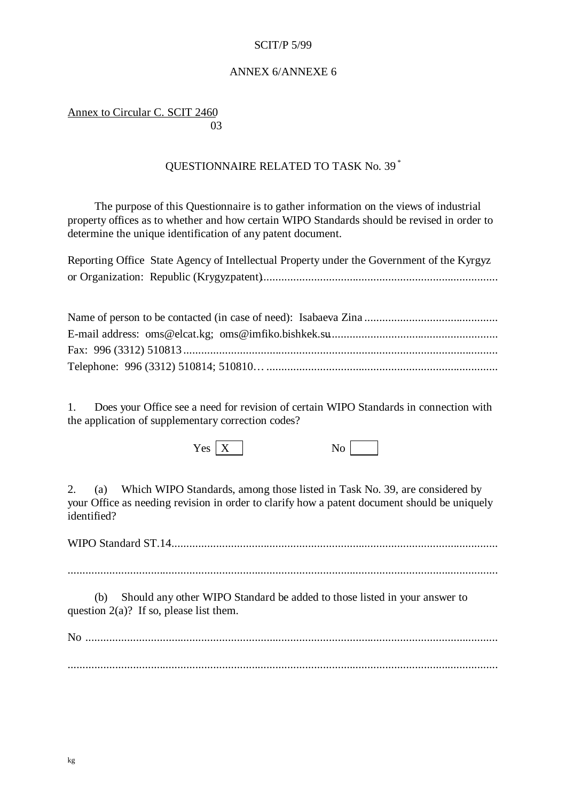### ANNEX 6/ANNEXE 6

Annex to Circular C. SCIT 2460 and the contract of the contract of the contract of the contract of the contract of the contract of the contract of the contract of the contract of the contract of the contract of the contract of the contract of the contra

# QUESTIONNAIRE RELATED TO TASK No. 39 \*

The purpose of this Questionnaire is to gather information on the views of industrial property offices as to whether and how certain WIPO Standards should be revised in order to determine the unique identification of any patent document.

| Reporting Office State Agency of Intellectual Property under the Government of the Kyrgyz |
|-------------------------------------------------------------------------------------------|
|                                                                                           |

1. Does your Office see a need for revision of certain WIPO Standards in connection with the application of supplementary correction codes?

 $\begin{array}{c|c}\n \hline\n Y \text{es} & X \end{array}$  No

2. (a) Which WIPO Standards, among those listed in Task No. 39, are considered by your Office as needing revision in order to clarify how a patent document should be uniquely identified?

WIPO Standard ST.14..............................................................................................................

.................................................................................................................................................

(b) Should any other WIPO Standard be added to those listed in your answer to question  $2(a)$ ? If so, please list them.

No ........................................................................................................................................... .................................................................................................................................................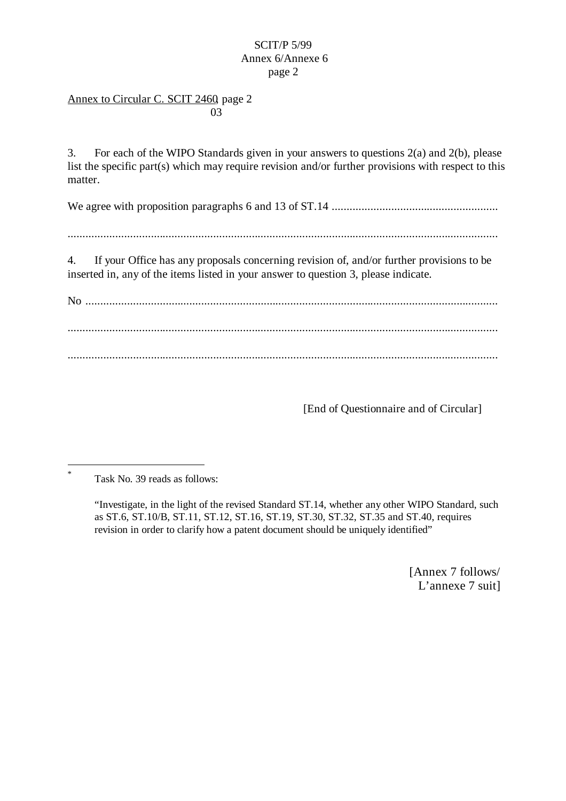## Annex to Circular C. SCIT 2460, page 2 and the contract of the contract of the contract of the contract of the contract of the contract of the contract of the contract of the contract of the contract of the contract of the contract of the contract of the contra

3. For each of the WIPO Standards given in your answers to questions 2(a) and 2(b), please list the specific part(s) which may require revision and/or further provisions with respect to this matter.

We agree with proposition paragraphs 6 and 13 of ST.14 ........................................................

.................................................................................................................................................

4. If your Office has any proposals concerning revision of, and/or further provisions to be inserted in, any of the items listed in your answer to question 3, please indicate.

No ........................................................................................................................................... ................................................................................................................................................. .................................................................................................................................................

[End of Questionnaire and of Circular]

\* Task No. 39 reads as follows:

l

"Investigate, in the light of the revised Standard ST.14, whether any other WIPO Standard, such as ST.6, ST.10/B, ST.11, ST.12, ST.16, ST.19, ST.30, ST.32, ST.35 and ST.40, requires revision in order to clarify how a patent document should be uniquely identified"

> [Annex 7 follows/ L'annexe 7 suit]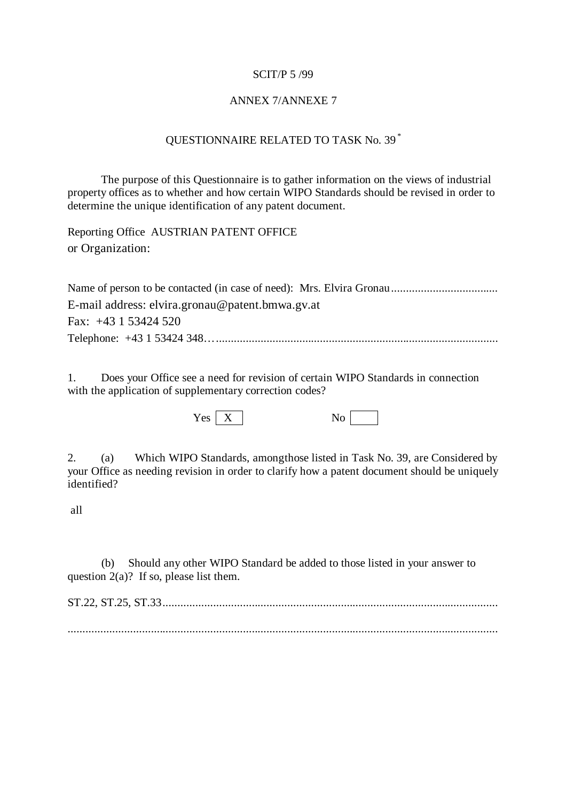### ANNEX 7/ANNEXE 7

## QUESTIONNAIRE RELATED TO TASK No. 39 \*

The purpose of this Questionnaire is to gather information on the views of industrial property offices as to whether and how certain WIPO Standards should be revised in order to determine the unique identification of any patent document.

Reporting Office AUSTRIAN PATENT OFFICE or Organization:

Name of person to be contacted (in case of need): Mrs. Elvira Gronau.................................... E-mail address: elvira.gronau@patent.bmwa.gv.at Fax: +43 1 53424 520 Telephone: +43 1 53424 348… ...............................................................................................

1. Does your Office see a need for revision of certain WIPO Standards in connection with the application of supplementary correction codes?

 $Yes \fbox{\fbox{$X$}}$  No  $No$ 

2. (a) Which WIPO Standards, among those listed in Task No. 39, are Considered by your Office as needing revision in order to clarify how a patent document should be uniquely identified?

all

(b) Should any other WIPO Standard be added to those listed in your answer to question  $2(a)$ ? If so, please list them.

ST.22, ST.25, ST.33.................................................................................................................

.................................................................................................................................................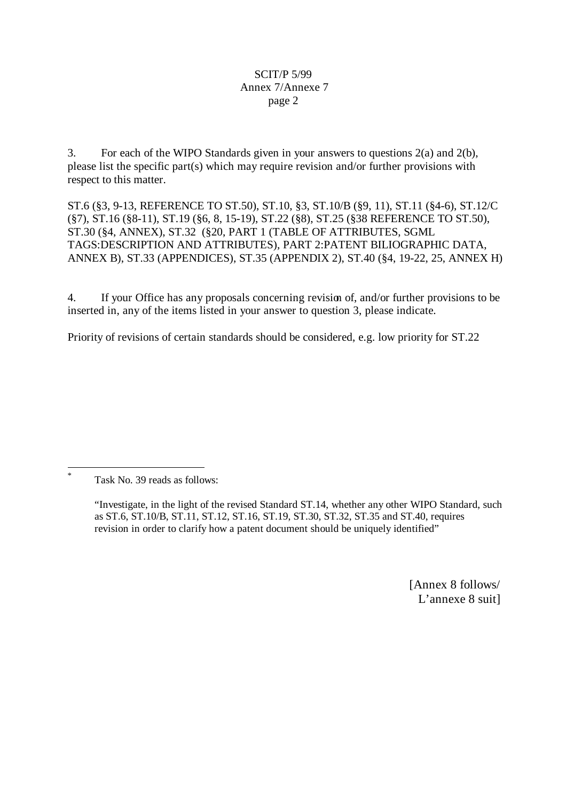3. For each of the WIPO Standards given in your answers to questions 2(a) and 2(b), please list the specific part(s) which may require revision and/or further provisions with respect to this matter.

ST.6 (§3, 9-13, REFERENCE TO ST.50), ST.10, §3, ST.10/B (§9, 11), ST.11 (§4-6), ST.12/C (§7), ST.16 (§8-11), ST.19 (§6, 8, 15-19), ST.22 (§8), ST.25 (§38 REFERENCE TO ST.50), ST.30 (§4, ANNEX), ST.32 (§20, PART 1 (TABLE OF ATTRIBUTES, SGML TAGS:DESCRIPTION AND ATTRIBUTES), PART 2:PATENT BILIOGRAPHIC DATA, ANNEX B), ST.33 (APPENDICES), ST.35 (APPENDIX 2), ST.40 (§4, 19-22, 25, ANNEX H)

4. If your Office has any proposals concerning revision of, and/or further provisions to be inserted in, any of the items listed in your answer to question 3, please indicate.

Priority of revisions of certain standards should be considered, e.g. low priority for ST.22

Task No. 39 reads as follows:

l \*

> "Investigate, in the light of the revised Standard ST.14, whether any other WIPO Standard, such as ST.6, ST.10/B, ST.11, ST.12, ST.16, ST.19, ST.30, ST.32, ST.35 and ST.40, requires revision in order to clarify how a patent document should be uniquely identified"

> > [Annex 8 follows/ L'annexe 8 suit]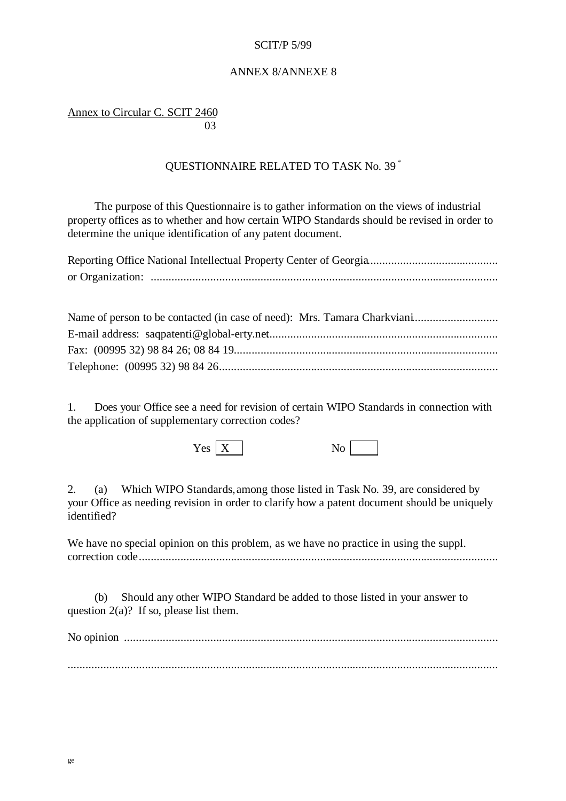### ANNEX 8/ANNEXE 8

Annex to Circular C. SCIT 2460 **03** 

# QUESTIONNAIRE RELATED TO TASK No. 39 \*

The purpose of this Questionnaire is to gather information on the views of industrial property offices as to whether and how certain WIPO Standards should be revised in order to determine the unique identification of any patent document.

1. Does your Office see a need for revision of certain WIPO Standards in connection with the application of supplementary correction codes?

 $\begin{array}{c|c}\n \hline\n Y \text{es} & X \end{array}$  No

2. (a) Which WIPO Standards, among those listed in Task No. 39, are considered by your Office as needing revision in order to clarify how a patent document should be uniquely identified?

We have no special opinion on this problem, as we have no practice in using the suppl. correction code.........................................................................................................................

(b) Should any other WIPO Standard be added to those listed in your answer to question  $2(a)$ ? If so, please list them.

No opinion ..............................................................................................................................

.................................................................................................................................................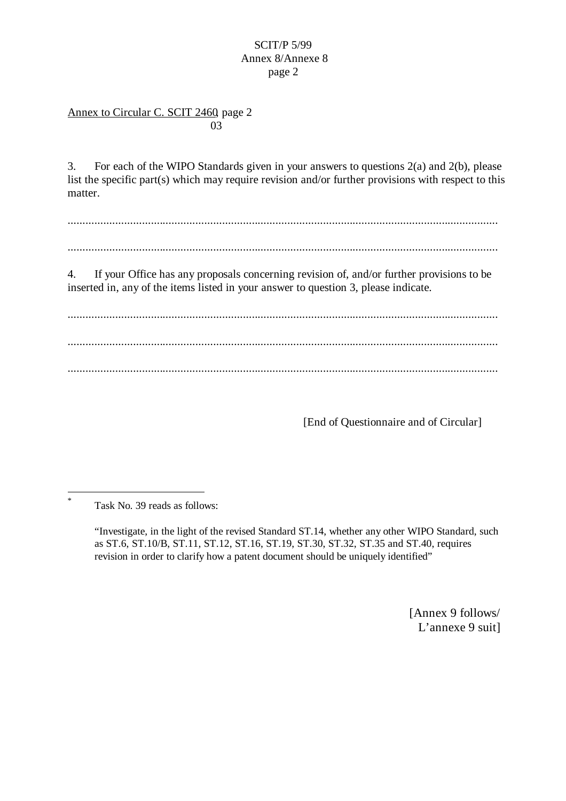## Annex to Circular C. SCIT 2460, page 2 and the contract of the contract of the contract of the contract of the contract of the contract of the contract of the contract of the contract of the contract of the contract of the contract of the contract of the contra

3. For each of the WIPO Standards given in your answers to questions 2(a) and 2(b), please list the specific part(s) which may require revision and/or further provisions with respect to this matter.

.................................................................................................................................................

.................................................................................................................................................

4. If your Office has any proposals concerning revision of, and/or further provisions to be inserted in, any of the items listed in your answer to question 3, please indicate.

................................................................................................................................................. ................................................................................................................................................. .................................................................................................................................................

[End of Questionnaire and of Circular]

Task No. 39 reads as follows:

 \*

> "Investigate, in the light of the revised Standard ST.14, whether any other WIPO Standard, such as ST.6, ST.10/B, ST.11, ST.12, ST.16, ST.19, ST.30, ST.32, ST.35 and ST.40, requires revision in order to clarify how a patent document should be uniquely identified"

> > [Annex 9 follows/ L'annexe 9 suit]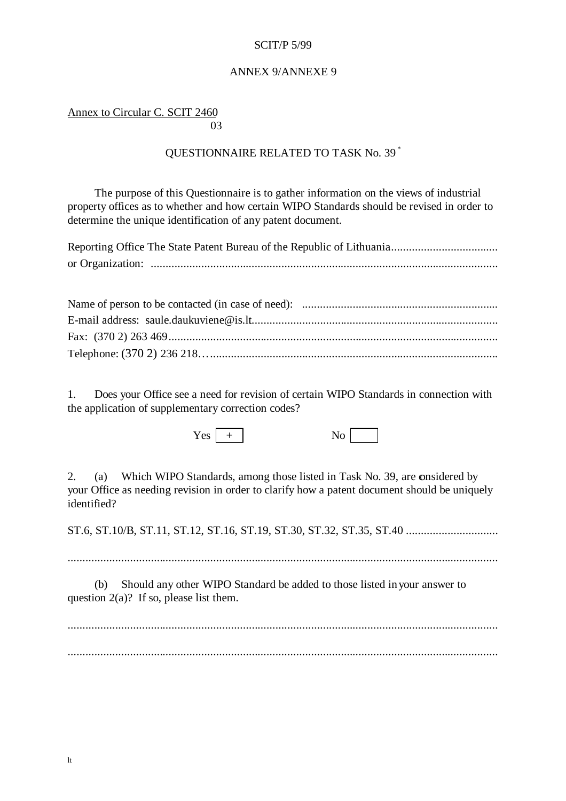### ANNEX 9/ANNEXE 9

Annex to Circular C. SCIT 2460 and the contract of the contract of the contract of the contract of the contract of the contract of the contract of the contract of the contract of the contract of the contract of the contract of the contract of the contra

## QUESTIONNAIRE RELATED TO TASK No. 39 \*

The purpose of this Questionnaire is to gather information on the views of industrial property offices as to whether and how certain WIPO Standards should be revised in order to determine the unique identification of any patent document.

1. Does your Office see a need for revision of certain WIPO Standards in connection with the application of supplementary correction codes?

 $Yes \tvert + \tNo \tN$ 

2. (a) Which WIPO Standards, among those listed in Task No. 39, are onsidered by your Office as needing revision in order to clarify how a patent document should be uniquely identified?

ST.6, ST.10/B, ST.11, ST.12, ST.16, ST.19, ST.30, ST.32, ST.35, ST.40 ...............................

.................................................................................................................................................

(b) Should any other WIPO Standard be added to those listed in your answer to question  $2(a)$ ? If so, please list them.

................................................................................................................................................. .................................................................................................................................................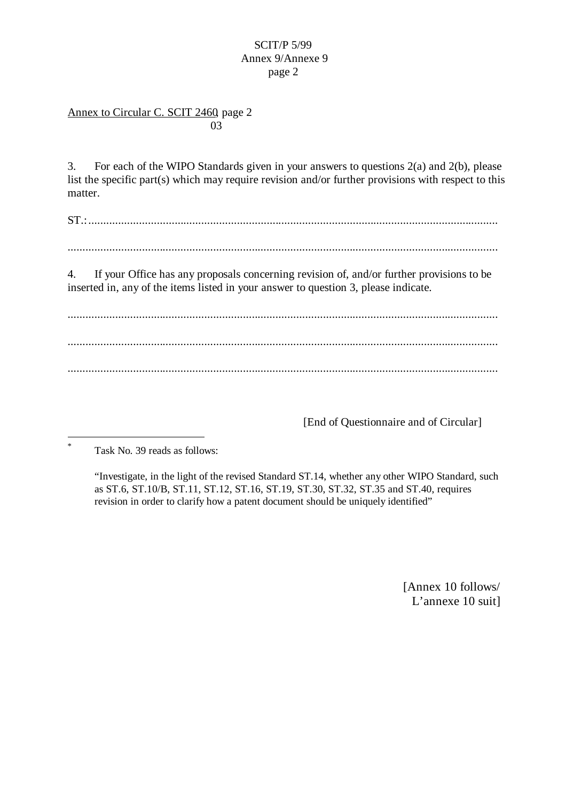## Annex to Circular C. SCIT 2460, page 2 and the contract of the contract of the contract of the contract of the contract of the contract of the contract of the contract of the contract of the contract of the contract of the contract of the contract of the contra

3. For each of the WIPO Standards given in your answers to questions 2(a) and 2(b), please list the specific part(s) which may require revision and/or further provisions with respect to this matter.

ST.:..........................................................................................................................................

.................................................................................................................................................

4. If your Office has any proposals concerning revision of, and/or further provisions to be inserted in, any of the items listed in your answer to question 3, please indicate.

................................................................................................................................................. ................................................................................................................................................. .................................................................................................................................................

[End of Questionnaire and of Circular]

Task No. 39 reads as follows:

l \*

> "Investigate, in the light of the revised Standard ST.14, whether any other WIPO Standard, such as ST.6, ST.10/B, ST.11, ST.12, ST.16, ST.19, ST.30, ST.32, ST.35 and ST.40, requires revision in order to clarify how a patent document should be uniquely identified"

> > [Annex 10 follows/ L'annexe 10 suit]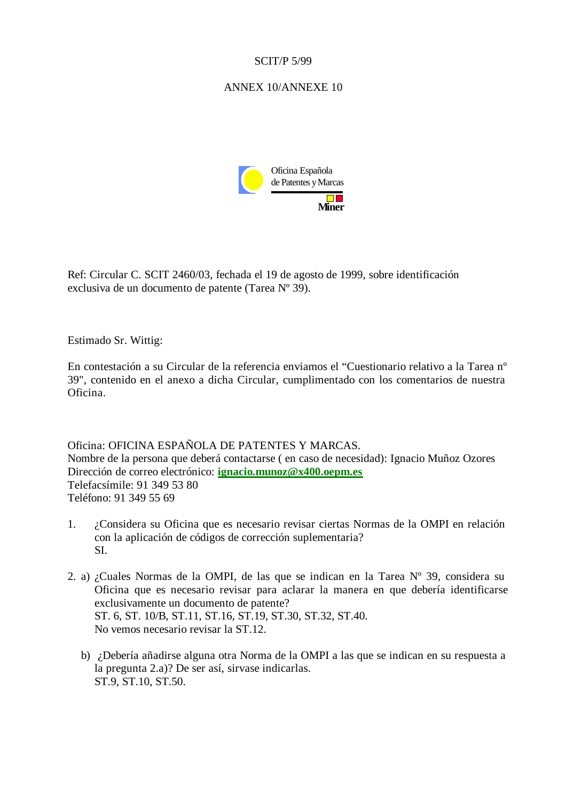## ANNEX 10/ANNEXE 10



Ref: Circular C. SCIT 2460/03, fechada el 19 de agosto de 1999, sobre identificación exclusiva de un documento de patente (Tarea Nº 39).

Estimado Sr. Wittig:

En contestación a su Circular de la referencia enviamos el "Cuestionario relativo a la Tarea nº 39", contenido en el anexo a dicha Circular, cumplimentado con los comentarios de nuestra Oficina.

Oficina: OFICINA ESPAÑOLA DE PATENTES Y MARCAS. Nombre de la persona que deberá contactarse ( en caso de necesidad): Ignacio Muñoz Ozores Dirección de correo electrónico: **ignacio.munoz@x400.oepm.es** Telefacsímile: 91 349 53 80 Teléfono: 91 349 55 69

- 1. ¿Considera su Oficina que es necesario revisar ciertas Normas de la OMPI en relación con la aplicación de códigos de corrección suplementaria? SI.
- 2. a) ¿Cuales Normas de la OMPI, de las que se indican en la Tarea Nº 39, considera su Oficina que es necesario revisar para aclarar la manera en que debería identificarse exclusivamente un documento de patente? ST. 6, ST. 10/B, ST.11, ST.16, ST.19, ST.30, ST.32, ST.40. No vemos necesario revisar la ST.12.
	- b) ¿Debería añadirse alguna otra Norma de la OMPI a las que se indican en su respuesta a la pregunta 2.a)? De ser así, sirvase indicarlas. ST.9, ST.10, ST.50.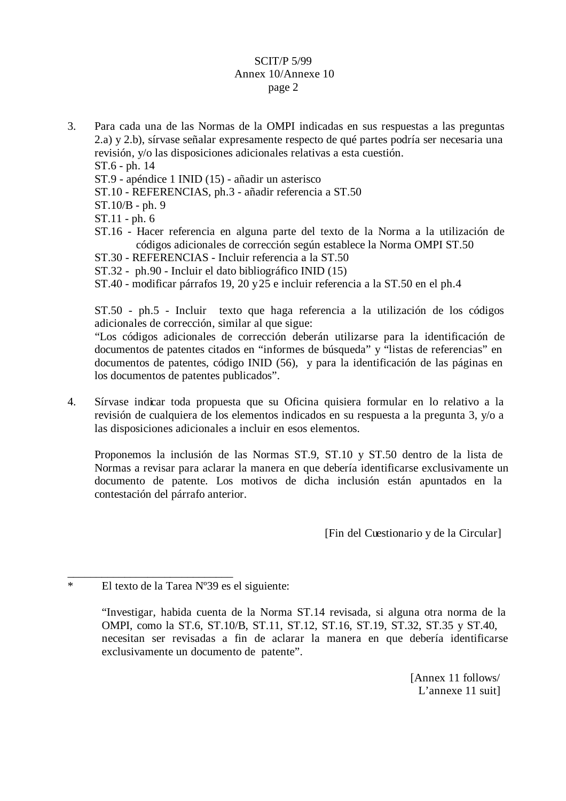3. Para cada una de las Normas de la OMPI indicadas en sus respuestas a las preguntas 2.a) y 2.b), sírvase señalar expresamente respecto de qué partes podría ser necesaria una revisión, y/o las disposiciones adicionales relativas a esta cuestión.

ST.6 - ph. 14

- ST.9 apéndice 1 INID (15) añadir un asterisco
- ST.10 REFERENCIAS, ph.3 añadir referencia a ST.50
- ST.10/B ph. 9

ST.11 - ph. 6

- ST.16 Hacer referencia en alguna parte del texto de la Norma a la utilización de códigos adicionales de corrección según establece la Norma OMPI ST.50
- ST.30 REFERENCIAS Incluir referencia a la ST.50
- ST.32 ph.90 Incluir el dato bibliográfico INID (15)
- ST.40 modificar párrafos 19, 20 y 25 e incluir referencia a la ST.50 en el ph.4

ST.50 - ph.5 - Incluir texto que haga referencia a la utilización de los códigos adicionales de corrección, similar al que sigue:

 "Los códigos adicionales de corrección deberán utilizarse para la identificación de documentos de patentes citados en "informes de búsqueda" y "listas de referencias" en documentos de patentes, código INID (56), y para la identificación de las páginas en los documentos de patentes publicados".

4. Sírvase indicar toda propuesta que su Oficina quisiera formular en lo relativo a la revisión de cualquiera de los elementos indicados en su respuesta a la pregunta 3, y/o a las disposiciones adicionales a incluir en esos elementos.

Proponemos la inclusión de las Normas ST.9, ST.10 y ST.50 dentro de la lista de Normas a revisar para aclarar la manera en que debería identificarse exclusivamente un documento de patente. Los motivos de dicha inclusión están apuntados en la contestación del párrafo anterior.

[Fin del Cuestionario y de la Circular]

\_\_\_\_\_\_\_\_\_\_\_\_\_\_\_\_\_\_\_\_\_\_\_\_\_\_\_\_\_ \* El texto de la Tarea Nº39 es el siguiente:

> "Investigar, habida cuenta de la Norma ST.14 revisada, si alguna otra norma de la OMPI, como la ST.6, ST.10/B, ST.11, ST.12, ST.16, ST.19, ST.32, ST.35 y ST.40, necesitan ser revisadas a fin de aclarar la manera en que debería identificarse exclusivamente un documento de patente".

> > [Annex 11 follows/ L'annexe 11 suit]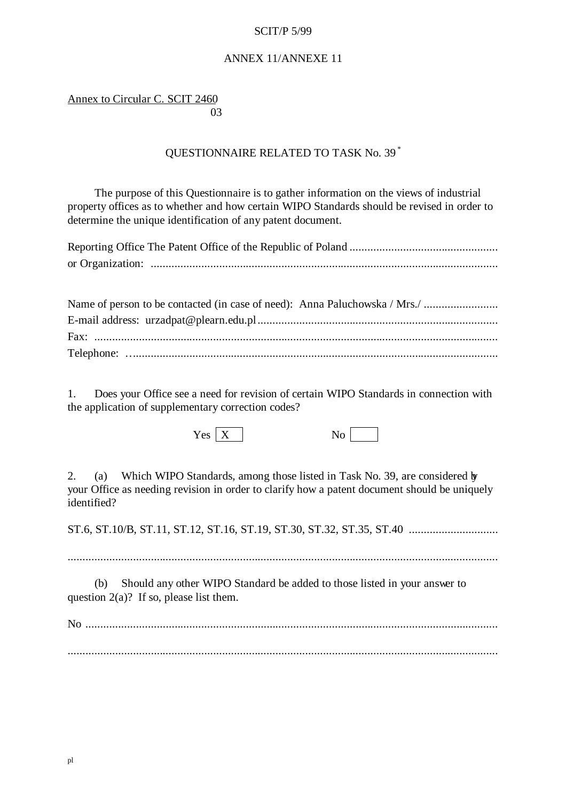## ANNEX 11/ANNEXE 11

## Annex to Circular C. SCIT 2460 and the contract of the contract of the contract of the contract of the contract of the contract of the contract of the contract of the contract of the contract of the contract of the contract of the contract of the contra

# QUESTIONNAIRE RELATED TO TASK No. 39 \*

The purpose of this Questionnaire is to gather information on the views of industrial property offices as to whether and how certain WIPO Standards should be revised in order to determine the unique identification of any patent document.

| or Organization: $\ldots$ |
|---------------------------|

1. Does your Office see a need for revision of certain WIPO Standards in connection with the application of supplementary correction codes?

 $Yes \mid X \mid$  No

2. (a) Which WIPO Standards, among those listed in Task No. 39, are considered by your Office as needing revision in order to clarify how a patent document should be uniquely identified?

ST.6, ST.10/B, ST.11, ST.12, ST.16, ST.19, ST.30, ST.32, ST.35, ST.40 ..............................

.................................................................................................................................................

(b) Should any other WIPO Standard be added to those listed in your answer to question  $2(a)$ ? If so, please list them.

No ...........................................................................................................................................

.................................................................................................................................................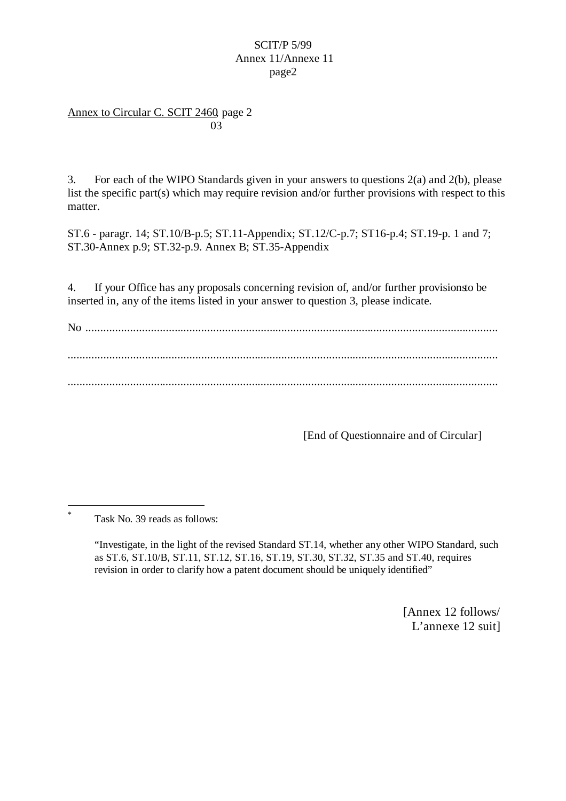Annex to Circular C. SCIT 2460, page 2 and the contract of the contract of the contract of the contract of the contract of the contract of the contract of the contract of the contract of the contract of the contract of the contract of the contract of the contra

3. For each of the WIPO Standards given in your answers to questions 2(a) and 2(b), please list the specific part(s) which may require revision and/or further provisions with respect to this matter.

ST.6 - paragr. 14; ST.10/B-p.5; ST.11-Appendix; ST.12/C-p.7; ST16-p.4; ST.19-p. 1 and 7; ST.30-Annex p.9; ST.32-p.9. Annex B; ST.35-Appendix

4. If your Office has any proposals concerning revision of, and/or further provisions to be inserted in, any of the items listed in your answer to question 3, please indicate.

No ........................................................................................................................................... ................................................................................................................................................. .................................................................................................................................................

[End of Questionnaire and of Circular]

 $\overline{a}$ \*

[Annex 12 follows/ L'annexe 12 suit]

Task No. 39 reads as follows:

<sup>&</sup>quot;Investigate, in the light of the revised Standard ST.14, whether any other WIPO Standard, such as ST.6, ST.10/B, ST.11, ST.12, ST.16, ST.19, ST.30, ST.32, ST.35 and ST.40, requires revision in order to clarify how a patent document should be uniquely identified"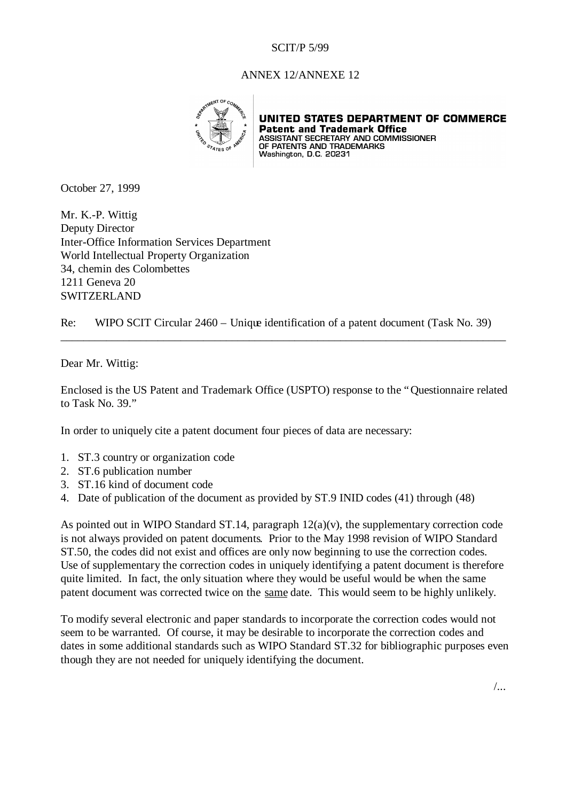#### ANNEX 12/ANNEXE 12



UNITED STATES DEPARTMENT OF COMMERCE **Patent and Trademark Office PACEIL AND IT AGEMAN COMMISSIONER<br>ASSISTANT SECRETARY AND COMMISSIONER<br>OF PATENTS AND TRADEMARKS**<br>Washington, D.C. 20231

October 27, 1999

Mr. K.-P. Wittig Deputy Director Inter-Office Information Services Department World Intellectual Property Organization 34, chemin des Colombettes 1211 Geneva 20 SWITZERLAND

Re: WIPO SCIT Circular 2460 – Unique identification of a patent document (Task No. 39)

\_\_\_\_\_\_\_\_\_\_\_\_\_\_\_\_\_\_\_\_\_\_\_\_\_\_\_\_\_\_\_\_\_\_\_\_\_\_\_\_\_\_\_\_\_\_\_\_\_\_\_\_\_\_\_\_\_\_\_\_\_\_\_\_\_\_\_\_\_\_\_\_\_\_\_\_\_\_

Dear Mr. Wittig:

Enclosed is the US Patent and Trademark Office (USPTO) response to the "Questionnaire related to Task No. 39."

In order to uniquely cite a patent document four pieces of data are necessary:

- 1. ST.3 country or organization code
- 2. ST.6 publication number
- 3. ST.16 kind of document code
- 4. Date of publication of the document as provided by ST.9 INID codes (41) through (48)

As pointed out in WIPO Standard ST.14, paragraph  $12(a)(v)$ , the supplementary correction code is not always provided on patent documents. Prior to the May 1998 revision of WIPO Standard ST.50, the codes did not exist and offices are only now beginning to use the correction codes. Use of supplementary the correction codes in uniquely identifying a patent document is therefore quite limited. In fact, the only situation where they would be useful would be when the same patent document was corrected twice on the same date. This would seem to be highly unlikely.

To modify several electronic and paper standards to incorporate the correction codes would not seem to be warranted. Of course, it may be desirable to incorporate the correction codes and dates in some additional standards such as WIPO Standard ST.32 for bibliographic purposes even though they are not needed for uniquely identifying the document.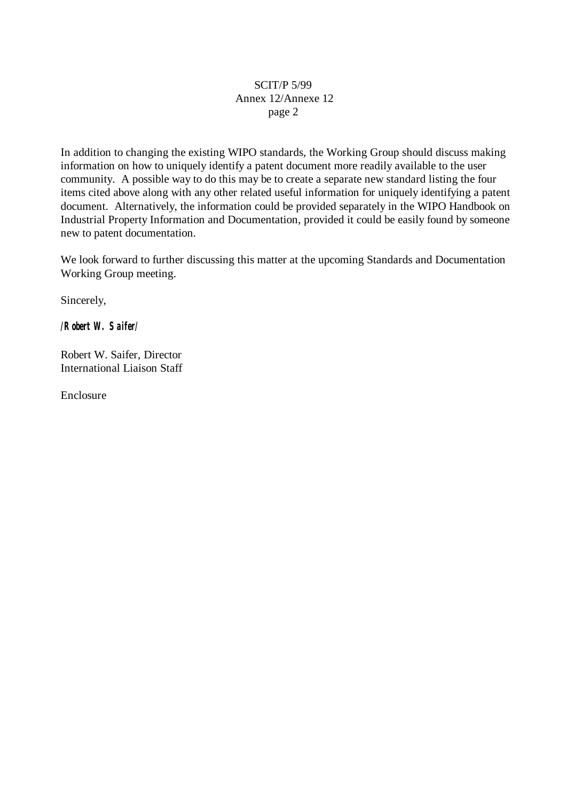In addition to changing the existing WIPO standards, the Working Group should discuss making information on how to uniquely identify a patent document more readily available to the user community. A possible way to do this may be to create a separate new standard listing the four items cited above along with any other related useful information for uniquely identifying a patent document. Alternatively, the information could be provided separately in the WIPO Handbook on Industrial Property Information and Documentation, provided it could be easily found by someone new to patent documentation.

We look forward to further discussing this matter at the upcoming Standards and Documentation Working Group meeting.

Sincerely,

*/Robert W. Saifer/*

Robert W. Saifer, Director International Liaison Staff

Enclosure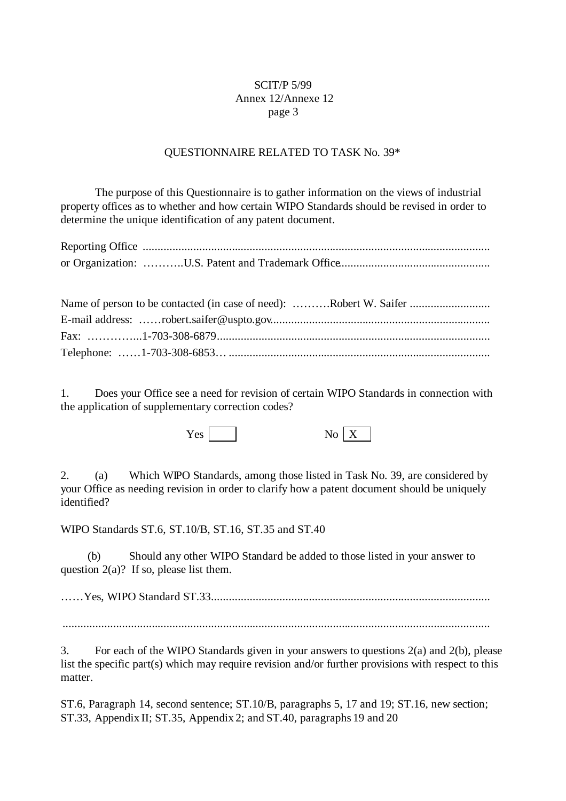### QUESTIONNAIRE RELATED TO TASK No. 39\*

The purpose of this Questionnaire is to gather information on the views of industrial property offices as to whether and how certain WIPO Standards should be revised in order to determine the unique identification of any patent document.

| Name of person to be contacted (in case of need): Robert W. Saifer |
|--------------------------------------------------------------------|
|                                                                    |
|                                                                    |
|                                                                    |

1. Does your Office see a need for revision of certain WIPO Standards in connection with the application of supplementary correction codes?

 $Yes \fbox{No } X$ 

2. (a) Which WIPO Standards, among those listed in Task No. 39, are considered by your Office as needing revision in order to clarify how a patent document should be uniquely identified?

WIPO Standards ST.6, ST.10/B, ST.16, ST.35 and ST.40

(b) Should any other WIPO Standard be added to those listed in your answer to question  $2(a)$ ? If so, please list them.

… … Yes, WIPO Standard ST.33..............................................................................................

................................................................................................................................................

3. For each of the WIPO Standards given in your answers to questions 2(a) and 2(b), please list the specific part(s) which may require revision and/or further provisions with respect to this matter.

ST.6, Paragraph 14, second sentence; ST.10/B, paragraphs 5, 17 and 19; ST.16, new section; ST.33, Appendix II; ST.35, Appendix 2; and ST.40, paragraphs 19 and 20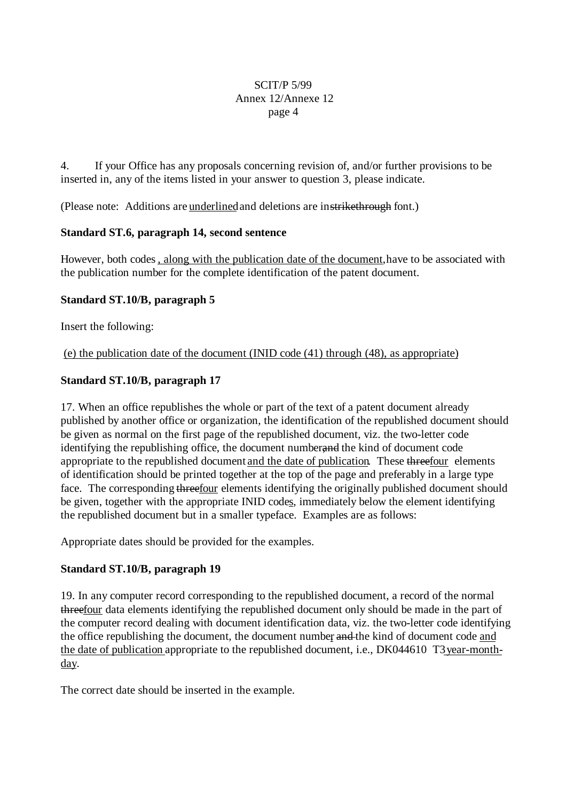4. If your Office has any proposals concerning revision of, and/or further provisions to be inserted in, any of the items listed in your answer to question 3, please indicate.

(Please note: Additions are underlined and deletions are instrikethrough font.)

## **Standard ST.6, paragraph 14, second sentence**

However, both codes, along with the publication date of the document, have to be associated with the publication number for the complete identification of the patent document.

## **Standard ST.10/B, paragraph 5**

Insert the following:

(e) the publication date of the document (INID code (41) through (48), as appropriate)

## **Standard ST.10/B, paragraph 17**

17. When an office republishes the whole or part of the text of a patent document already published by another office or organization, the identification of the republished document should be given as normal on the first page of the republished document, viz. the two-letter code identifying the republishing office, the document number, and the kind of document code appropriate to the republished document and the date of publication. These threefour elements of identification should be printed together at the top of the page and preferably in a large type face. The corresponding threefour elements identifying the originally published document should be given, together with the appropriate INID codes, immediately below the element identifying the republished document but in a smaller typeface. Examples are as follows:

Appropriate dates should be provided for the examples.

## **Standard ST.10/B, paragraph 19**

19. In any computer record corresponding to the republished document, a record of the normal threefour data elements identifying the republished document only should be made in the part of the computer record dealing with document identification data, viz. the two-letter code identifying the office republishing the document, the document number and the kind of document code and the date of publication appropriate to the republished document, i.e., DK044610 T3 year-monthday.

The correct date should be inserted in the example.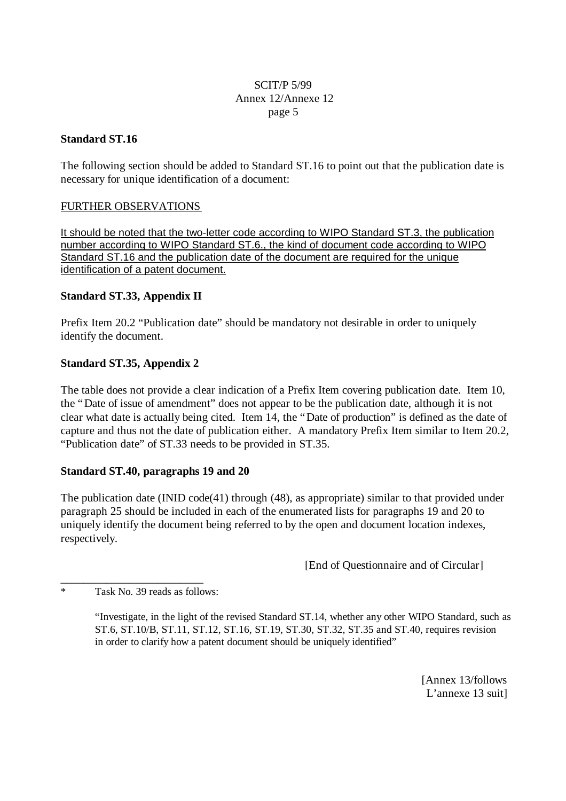## **Standard ST.16**

The following section should be added to Standard ST.16 to point out that the publication date is necessary for unique identification of a document:

# FURTHER OBSERVATIONS

It should be noted that the two-letter code according to WIPO Standard ST.3, the publication number according to WIPO Standard ST.6., the kind of document code according to WIPO Standard ST.16 and the publication date of the document are required for the unique identification of a patent document.

# **Standard ST.33, Appendix II**

Prefix Item 20.2 "Publication date" should be mandatory not desirable in order to uniquely identify the document.

# **Standard ST.35, Appendix 2**

The table does not provide a clear indication of a Prefix Item covering publication date. Item 10, the "Date of issue of amendment" does not appear to be the publication date, although it is not clear what date is actually being cited. Item 14, the "Date of production" is defined as the date of capture and thus not the date of publication either. A mandatory Prefix Item similar to Item 20.2, "Publication date" of ST.33 needs to be provided in ST.35.

## **Standard ST.40, paragraphs 19 and 20**

The publication date (INID code(41) through (48), as appropriate) similar to that provided under paragraph 25 should be included in each of the enumerated lists for paragraphs 19 and 20 to uniquely identify the document being referred to by the open and document location indexes, respectively.

[End of Questionnaire and of Circular]

\* Task No. 39 reads as follows:

\_\_\_\_\_\_\_\_\_\_\_\_\_\_\_\_\_\_\_\_\_\_\_\_\_

"Investigate, in the light of the revised Standard ST.14, whether any other WIPO Standard, such as ST.6, ST.10/B, ST.11, ST.12, ST.16, ST.19, ST.30, ST.32, ST.35 and ST.40, requires revision in order to clarify how a patent document should be uniquely identified"

> [Annex 13/follows L'annexe 13 suit]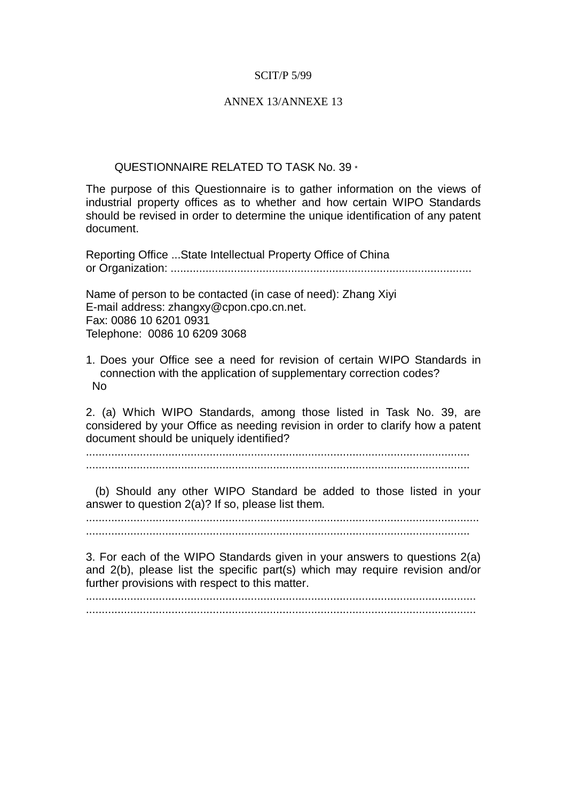#### ANNEX 13/ANNEXE 13

#### QUESTIONNAIRE RELATED TO TASK No. 39 \*

The purpose of this Questionnaire is to gather information on the views of industrial property offices as to whether and how certain WIPO Standards should be revised in order to determine the unique identification of any patent document.

Reporting Office ...State Intellectual Property Office of China or Organization: ...............................................................................................

Name of person to be contacted (in case of need): Zhang Xiyi E-mail address: zhangxy@cpon.cpo.cn.net. Fax: 0086 10 6201 0931 Telephone: 0086 10 6209 3068

1. Does your Office see a need for revision of certain WIPO Standards in connection with the application of supplementary correction codes? No

2. (a) Which WIPO Standards, among those listed in Task No. 39, are considered by your Office as needing revision in order to clarify how a patent document should be uniquely identified?

......................................................................................................................... .........................................................................................................................

 (b) Should any other WIPO Standard be added to those listed in your answer to question 2(a)? If so, please list them.

............................................................................................................................ .........................................................................................................................

3. For each of the WIPO Standards given in your answers to questions 2(a) and 2(b), please list the specific part(s) which may require revision and/or further provisions with respect to this matter.

........................................................................................................................... ...........................................................................................................................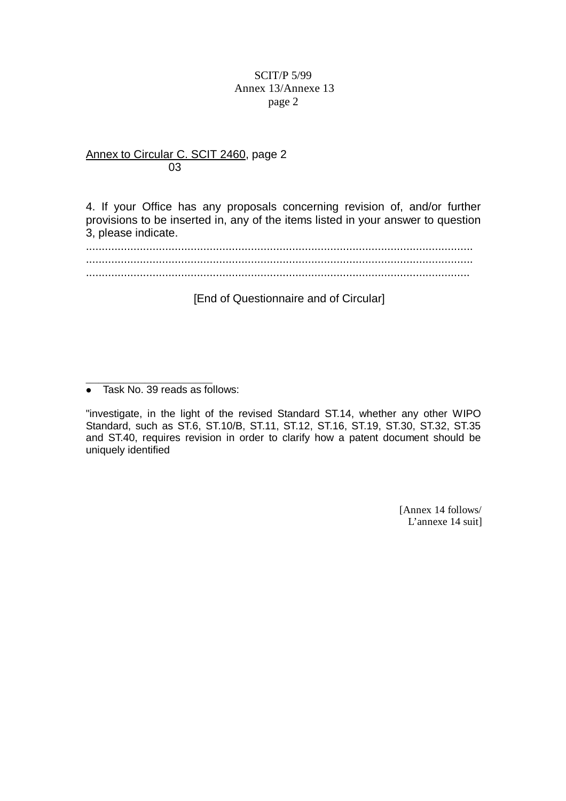## Annex to Circular C. SCIT 2460, page 2 03

4. If your Office has any proposals concerning revision of, and/or further provisions to be inserted in, any of the items listed in your answer to question 3, please indicate.

.......................................................................................................................... .......................................................................................................................... .........................................................................................................................

[End of Questionnaire and of Circular]

"investigate, in the light of the revised Standard ST.14, whether any other WIPO Standard, such as ST.6, ST.10/B, ST.11, ST.12, ST.16, ST.19, ST.30, ST.32, ST.35 and ST.40, requires revision in order to clarify how a patent document should be uniquely identified

> [Annex 14 follows/ L'annexe 14 suit]

\_\_\_\_\_\_\_\_\_\_\_\_\_\_\_\_\_\_\_\_\_\_\_\_\_\_\_\_\_\_ • Task No. 39 reads as follows: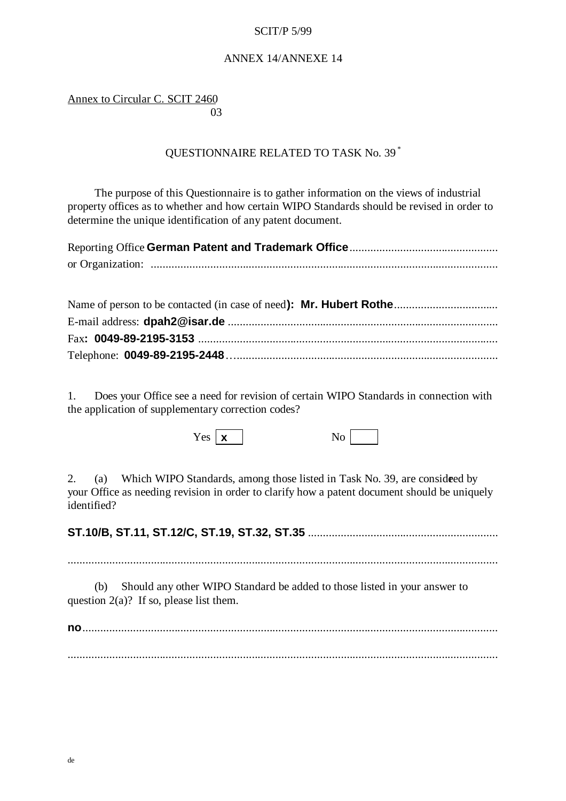## ANNEX 14/ANNEXE 14

## Annex to Circular C. SCIT 2460 and the contract of the contract of the contract of the contract of the contract of the contract of the contract of the contract of the contract of the contract of the contract of the contract of the contract of the contra

# QUESTIONNAIRE RELATED TO TASK No. 39 \*

The purpose of this Questionnaire is to gather information on the views of industrial property offices as to whether and how certain WIPO Standards should be revised in order to determine the unique identification of any patent document.

1. Does your Office see a need for revision of certain WIPO Standards in connection with the application of supplementary correction codes?

 $Yes \mid \mathbf{x} \mid$  No

2. (a) Which WIPO Standards, among those listed in Task No. 39, are considered by your Office as needing revision in order to clarify how a patent document should be uniquely identified?

**ST.10/B, ST.11, ST.12/C, ST.19, ST.32, ST.35** ................................................................

.................................................................................................................................................

(b) Should any other WIPO Standard be added to those listed in your answer to question  $2(a)$ ? If so, please list them.

**no**............................................................................................................................................ .................................................................................................................................................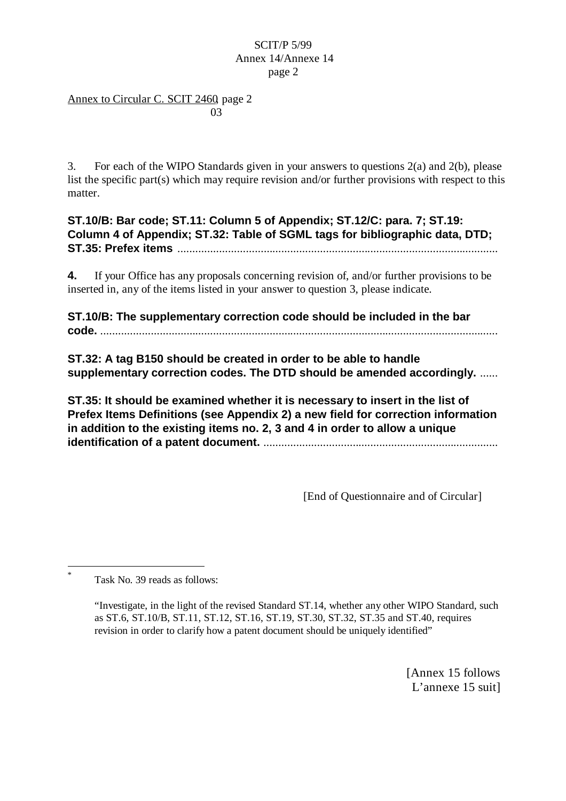## Annex to Circular C. SCIT 2460, page 2 and the contract of the contract of the contract of the contract of the contract of the contract of the contract of the contract of the contract of the contract of the contract of the contract of the contract of the contra

3. For each of the WIPO Standards given in your answers to questions 2(a) and 2(b), please list the specific part(s) which may require revision and/or further provisions with respect to this matter.

**ST.10/B: Bar code; ST.11: Column 5 of Appendix; ST.12/C: para. 7; ST.19: Column 4 of Appendix; ST.32: Table of SGML tags for bibliographic data, DTD; ST.35: Prefex items** ............................................................................................................

**4.** If your Office has any proposals concerning revision of, and/or further provisions to be inserted in, any of the items listed in your answer to question 3, please indicate.

**ST.10/B: The supplementary correction code should be included in the bar code.** ......................................................................................................................................

**ST.32: A tag B150 should be created in order to be able to handle supplementary correction codes. The DTD should be amended accordingly.** ......

**ST.35: It should be examined whether it is necessary to insert in the list of Prefex Items Definitions (see Appendix 2) a new field for correction information in addition to the existing items no. 2, 3 and 4 in order to allow a unique identification of a patent document.** ...............................................................................

[End of Questionnaire and of Circular]

Task No. 39 reads as follows:

 \*

> "Investigate, in the light of the revised Standard ST.14, whether any other WIPO Standard, such as ST.6, ST.10/B, ST.11, ST.12, ST.16, ST.19, ST.30, ST.32, ST.35 and ST.40, requires revision in order to clarify how a patent document should be uniquely identified"

> > [Annex 15 follows L'annexe 15 suit]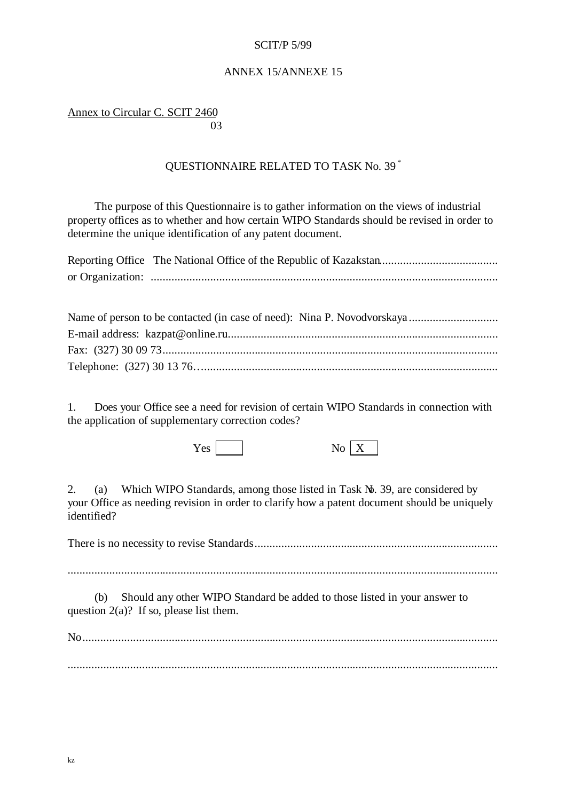### ANNEX 15/ANNEXE 15

Annex to Circular C. SCIT 2460 and the contract of the contract of the contract of the contract of the contract of the contract of the contract of the contract of the contract of the contract of the contract of the contract of the contract of the contra

# QUESTIONNAIRE RELATED TO TASK No. 39 \*

The purpose of this Questionnaire is to gather information on the views of industrial property offices as to whether and how certain WIPO Standards should be revised in order to determine the unique identification of any patent document.

| $\mathbf{M}$ (1) $\mathbf{M}$ (1) $\mathbf{M}$ (1) $\mathbf{M}$ |
|-----------------------------------------------------------------|

| Name of person to be contacted (in case of need): Nina P. Novodvorskaya |
|-------------------------------------------------------------------------|
|                                                                         |
|                                                                         |
|                                                                         |
|                                                                         |

1. Does your Office see a need for revision of certain WIPO Standards in connection with the application of supplementary correction codes?

Yes No X

|--|--|

2. (a) Which WIPO Standards, among those listed in Task No. 39, are considered by your Office as needing revision in order to clarify how a patent document should be uniquely identified?

There is no necessity to revise Standards..................................................................................

.................................................................................................................................................

(b) Should any other WIPO Standard be added to those listed in your answer to question  $2(a)$ ? If so, please list them.

No............................................................................................................................................ .................................................................................................................................................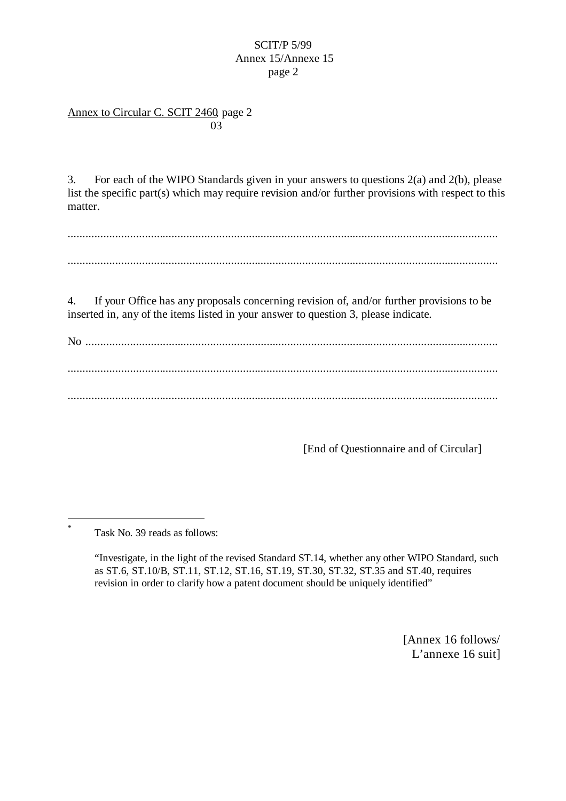Annex to Circular C. SCIT 2460, page 2 and the contract of the contract of the contract of the contract of the contract of the contract of the contract of the contract of the contract of the contract of the contract of the contract of the contract of the contra

3. For each of the WIPO Standards given in your answers to questions 2(a) and 2(b), please list the specific part(s) which may require revision and/or further provisions with respect to this matter.

................................................................................................................................................. .................................................................................................................................................

4. If your Office has any proposals concerning revision of, and/or further provisions to be inserted in, any of the items listed in your answer to question 3, please indicate.

No ........................................................................................................................................... ................................................................................................................................................. .................................................................................................................................................

[End of Questionnaire and of Circular]

Task No. 39 reads as follows:

l \*

> "Investigate, in the light of the revised Standard ST.14, whether any other WIPO Standard, such as ST.6, ST.10/B, ST.11, ST.12, ST.16, ST.19, ST.30, ST.32, ST.35 and ST.40, requires revision in order to clarify how a patent document should be uniquely identified"

> > [Annex 16 follows/ L'annexe 16 suit]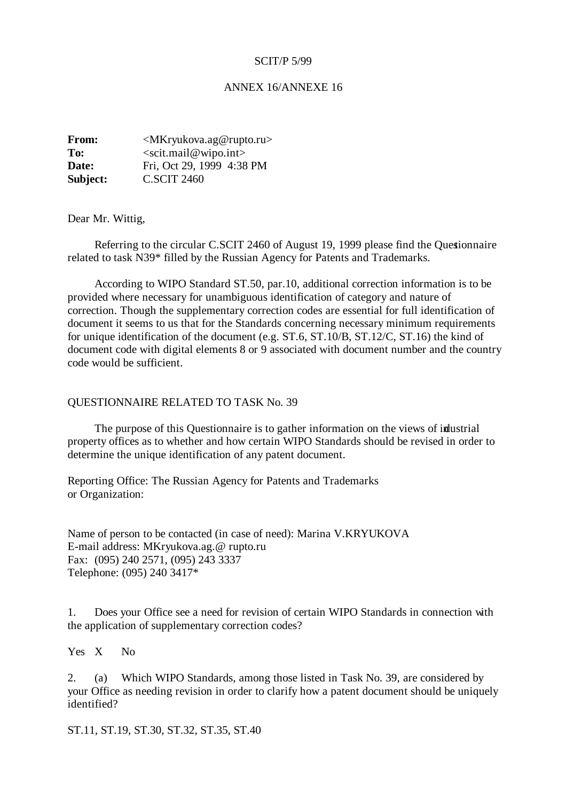#### ANNEX 16/ANNEXE 16

**From:** <*MKryukova.ag@rupto.ru>* **To:** <scit.mail@wipo.int> **Date:** Fri, Oct 29, 1999 4:38 PM **Subject:** C.SCIT 2460

Dear Mr. Wittig,

Referring to the circular C.SCIT 2460 of August 19, 1999 please find the Questionnaire related to task N39\* filled by the Russian Agency for Patents and Trademarks.

According to WIPO Standard ST.50, par.10, additional correction information is to be provided where necessary for unambiguous identification of category and nature of correction. Though the supplementary correction codes are essential for full identification of document it seems to us that for the Standards concerning necessary minimum requirements for unique identification of the document (e.g. ST.6, ST.10/B, ST.12/C, ST.16) the kind of document code with digital elements 8 or 9 associated with document number and the country code would be sufficient.

#### QUESTIONNAIRE RELATED TO TASK No. 39

The purpose of this Questionnaire is to gather information on the views of industrial property offices as to whether and how certain WIPO Standards should be revised in order to determine the unique identification of any patent document.

Reporting Office: The Russian Agency for Patents and Trademarks or Organization:

Name of person to be contacted (in case of need): Marina V.KRYUKOVA E-mail address: MKryukova.ag.@ rupto.ru Fax: (095) 240 2571, (095) 243 3337 Telephone: (095) 240 3417\*

1. Does your Office see a need for revision of certain WIPO Standards in connection with the application of supplementary correction codes?

Yes X No

2. (a) Which WIPO Standards, among those listed in Task No. 39, are considered by your Office as needing revision in order to clarify how a patent document should be uniquely identified?

ST.11, ST.19, ST.30, ST.32, ST.35, ST.40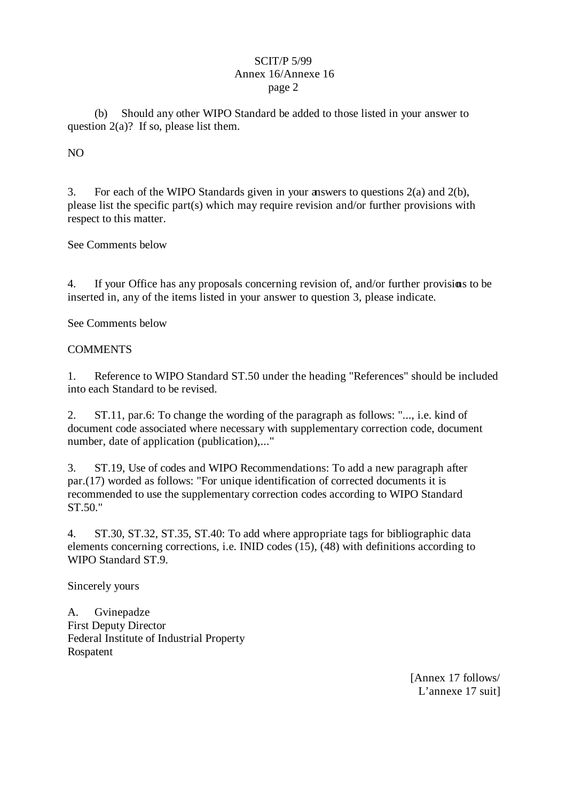(b) Should any other WIPO Standard be added to those listed in your answer to question  $2(a)$ ? If so, please list them.

# NO

3. For each of the WIPO Standards given in your answers to questions 2(a) and 2(b), please list the specific part(s) which may require revision and/or further provisions with respect to this matter.

See Comments below

4. If your Office has any proposals concerning revision of, and/or further provisions to be inserted in, any of the items listed in your answer to question 3, please indicate.

See Comments below

# **COMMENTS**

1. Reference to WIPO Standard ST.50 under the heading "References" should be included into each Standard to be revised.

2. ST.11, par.6: To change the wording of the paragraph as follows: "..., i.e. kind of document code associated where necessary with supplementary correction code, document number, date of application (publication),..."

3. ST.19, Use of codes and WIPO Recommendations: To add a new paragraph after par.(17) worded as follows: "For unique identification of corrected documents it is recommended to use the supplementary correction codes according to WIPO Standard ST.50."

4. ST.30, ST.32, ST.35, ST.40: To add where appropriate tags for bibliographic data elements concerning corrections, i.e. INID codes  $(15)$ ,  $(48)$  with definitions according to WIPO Standard ST.9.

Sincerely yours

A. Gvinepadze First Deputy Director Federal Institute of Industrial Property Rospatent

> [Annex 17 follows/ L'annexe 17 suit]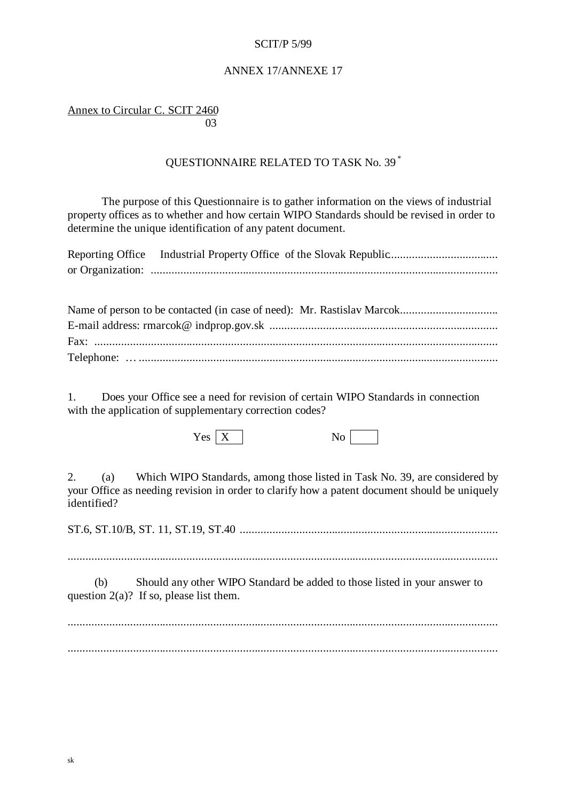### ANNEX 17/ANNEXE 17

Annex to Circular C. SCIT 2460 <u>03</u>

# QUESTIONNAIRE RELATED TO TASK No. 39 \*

The purpose of this Questionnaire is to gather information on the views of industrial property offices as to whether and how certain WIPO Standards should be revised in order to determine the unique identification of any patent document.

| Reporting Office Industrial Property Office of the Slovak Republic |
|--------------------------------------------------------------------|
|                                                                    |
|                                                                    |
|                                                                    |
|                                                                    |
|                                                                    |
|                                                                    |
|                                                                    |

1. Does your Office see a need for revision of certain WIPO Standards in connection with the application of supplementary correction codes?

 $Yes \mid X \mid$  No

2. (a) Which WIPO Standards, among those listed in Task No. 39, are considered by your Office as needing revision in order to clarify how a patent document should be uniquely identified?

ST.6, ST.10/B, ST. 11, ST.19, ST.40 .......................................................................................

.................................................................................................................................................

(b) Should any other WIPO Standard be added to those listed in your answer to question 2(a)? If so, please list them.

.................................................................................................................................................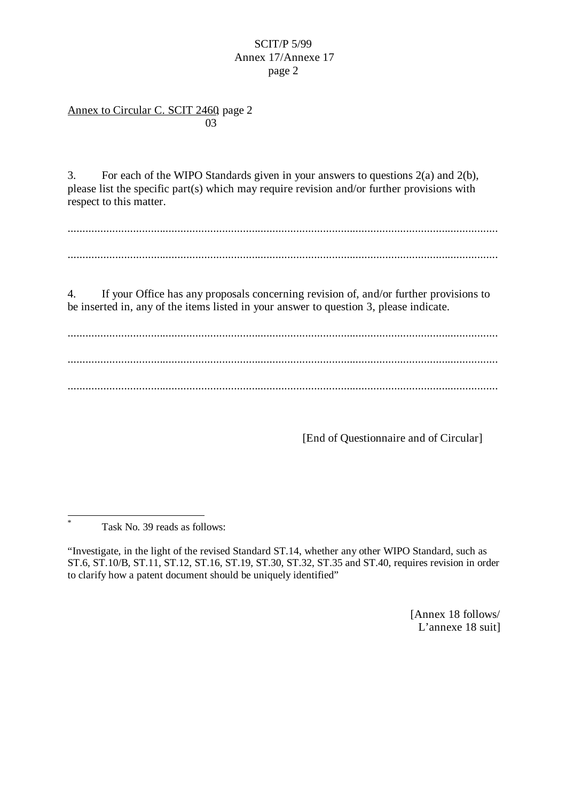## Annex to Circular C. SCIT 2460, page 2 <u>03</u>

3. For each of the WIPO Standards given in your answers to questions 2(a) and 2(b), please list the specific part(s) which may require revision and/or further provisions with respect to this matter.

................................................................................................................................................. .................................................................................................................................................

4. If your Office has any proposals concerning revision of, and/or further provisions to be inserted in, any of the items listed in your answer to question 3, please indicate.

................................................................................................................................................. ................................................................................................................................................. .................................................................................................................................................

[End of Questionnaire and of Circular]

\* Task No. 39 reads as follows:

l

[Annex 18 follows/ L'annexe 18 suit]

<sup>&</sup>quot;Investigate, in the light of the revised Standard ST.14, whether any other WIPO Standard, such as ST.6, ST.10/B, ST.11, ST.12, ST.16, ST.19, ST.30, ST.32, ST.35 and ST.40, requires revision in order to clarify how a patent document should be uniquely identified"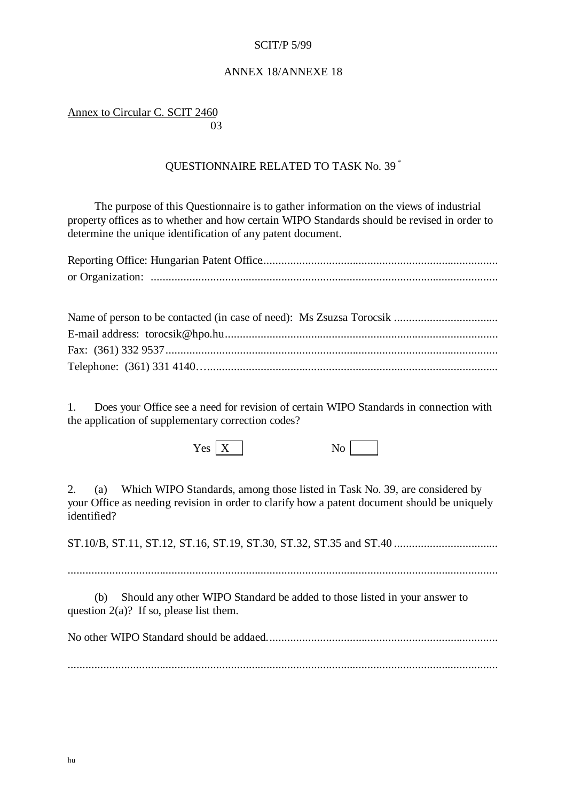### ANNEX 18/ANNEXE 18

Annex to Circular C. SCIT 2460 and the contract of the contract of the contract of the contract of the contract of the contract of the contract of the contract of the contract of the contract of the contract of the contract of the contract of the contra

# QUESTIONNAIRE RELATED TO TASK No. 39 \*

The purpose of this Questionnaire is to gather information on the views of industrial property offices as to whether and how certain WIPO Standards should be revised in order to determine the unique identification of any patent document.

1. Does your Office see a need for revision of certain WIPO Standards in connection with the application of supplementary correction codes?

 $Yes \mid X \mid$  No

2. (a) Which WIPO Standards, among those listed in Task No. 39, are considered by your Office as needing revision in order to clarify how a patent document should be uniquely identified?

ST.10/B, ST.11, ST.12, ST.16, ST.19, ST.30, ST.32, ST.35 and ST.40 ...................................

.................................................................................................................................................

(b) Should any other WIPO Standard be added to those listed in your answer to question  $2(a)$ ? If so, please list them.

No other WIPO Standard should be addaed..............................................................................

.................................................................................................................................................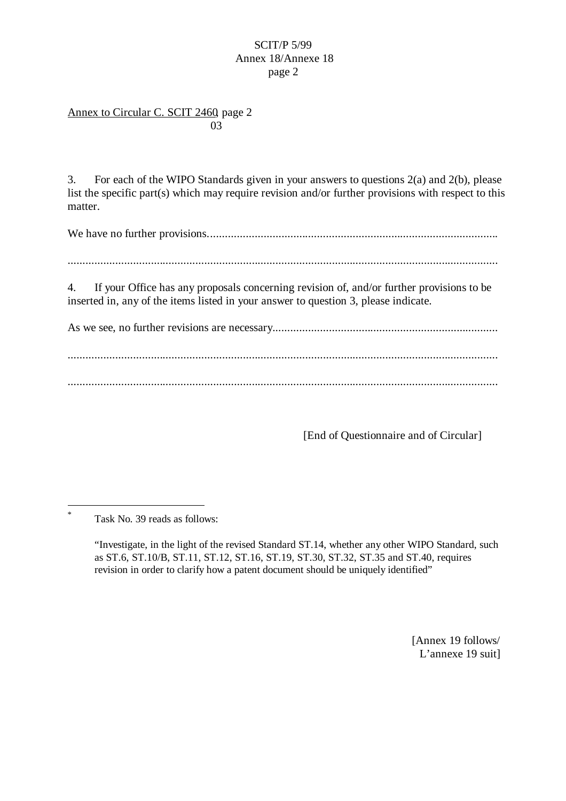## Annex to Circular C. SCIT 2460, page 2 and the contract of the contract of the contract of the contract of the contract of the contract of the contract of the contract of the contract of the contract of the contract of the contract of the contract of the contra

3. For each of the WIPO Standards given in your answers to questions 2(a) and 2(b), please list the specific part(s) which may require revision and/or further provisions with respect to this matter.

We have no further provisions..................................................................................................

.................................................................................................................................................

4. If your Office has any proposals concerning revision of, and/or further provisions to be inserted in, any of the items listed in your answer to question 3, please indicate.

As we see, no further revisions are necessary............................................................................

.................................................................................................................................................

.................................................................................................................................................

[End of Questionnaire and of Circular]

 $\overline{a}$ \*

[Annex 19 follows/ L'annexe 19 suit]

Task No. 39 reads as follows:

<sup>&</sup>quot;Investigate, in the light of the revised Standard ST.14, whether any other WIPO Standard, such as ST.6, ST.10/B, ST.11, ST.12, ST.16, ST.19, ST.30, ST.32, ST.35 and ST.40, requires revision in order to clarify how a patent document should be uniquely identified"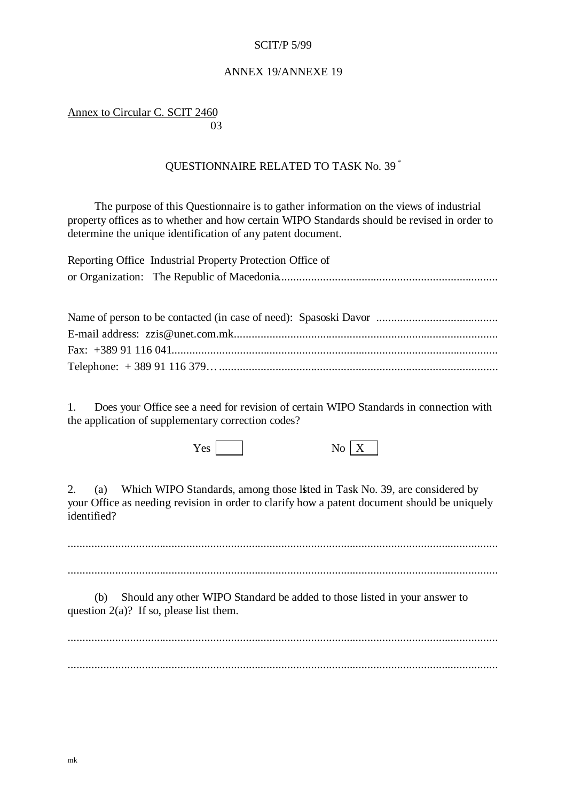### ANNEX 19/ANNEXE 19

Annex to Circular C. SCIT 2460 and the contract of the contract of the contract of the contract of the contract of the contract of the contract of the contract of the contract of the contract of the contract of the contract of the contract of the contra

# QUESTIONNAIRE RELATED TO TASK No. 39 \*

The purpose of this Questionnaire is to gather information on the views of industrial property offices as to whether and how certain WIPO Standards should be revised in order to determine the unique identification of any patent document.

| Reporting Office Industrial Property Protection Office of |
|-----------------------------------------------------------|
|                                                           |
|                                                           |
|                                                           |
|                                                           |
|                                                           |
|                                                           |
|                                                           |

1. Does your Office see a need for revision of certain WIPO Standards in connection with the application of supplementary correction codes?

Yes No X

|--|--|

2. (a) Which WIPO Standards, among those listed in Task No. 39, are considered by your Office as needing revision in order to clarify how a patent document should be uniquely identified?

................................................................................................................................................. .................................................................................................................................................

(b) Should any other WIPO Standard be added to those listed in your answer to question  $2(a)$ ? If so, please list them.

................................................................................................................................................. .................................................................................................................................................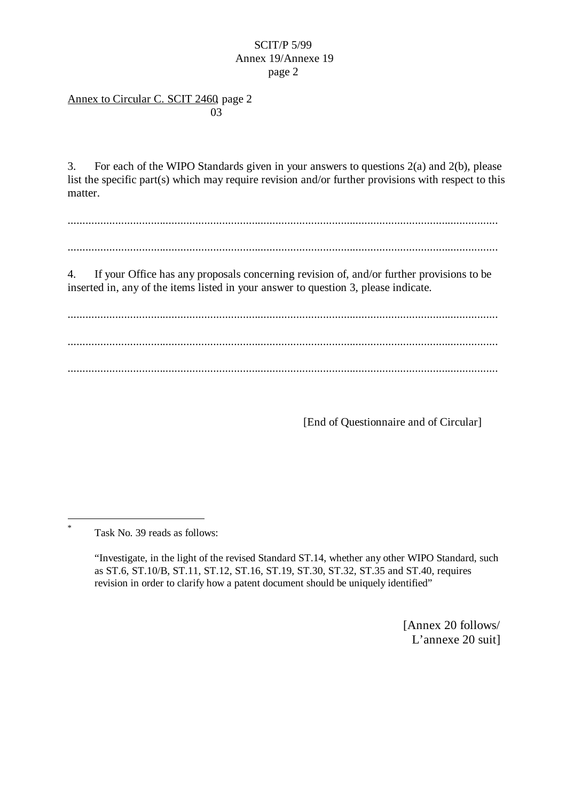## Annex to Circular C. SCIT 2460, page 2 and the contract of the contract of the contract of the contract of the contract of the contract of the contract of the contract of the contract of the contract of the contract of the contract of the contract of the contra

3. For each of the WIPO Standards given in your answers to questions 2(a) and 2(b), please list the specific part(s) which may require revision and/or further provisions with respect to this matter.

.................................................................................................................................................

.................................................................................................................................................

4. If your Office has any proposals concerning revision of, and/or further provisions to be inserted in, any of the items listed in your answer to question 3, please indicate.

................................................................................................................................................. ................................................................................................................................................. .................................................................................................................................................

[End of Questionnaire and of Circular]

Task No. 39 reads as follows:

l \*

> "Investigate, in the light of the revised Standard ST.14, whether any other WIPO Standard, such as ST.6, ST.10/B, ST.11, ST.12, ST.16, ST.19, ST.30, ST.32, ST.35 and ST.40, requires revision in order to clarify how a patent document should be uniquely identified"

> > [Annex 20 follows/ L'annexe 20 suit]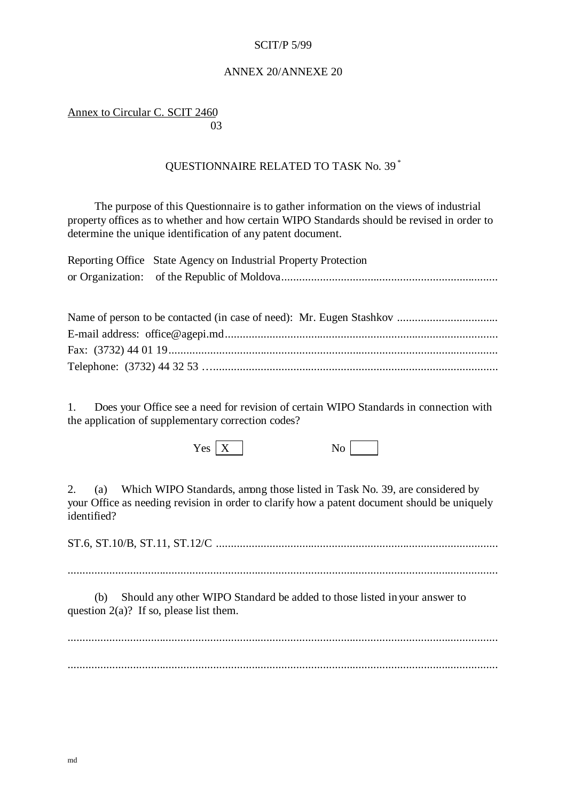### ANNEX 20/ANNEXE 20

Annex to Circular C. SCIT 2460 and the contract of the contract of the contract of the contract of the contract of the contract of the contract of the contract of the contract of the contract of the contract of the contract of the contract of the contra

# QUESTIONNAIRE RELATED TO TASK No. 39 \*

The purpose of this Questionnaire is to gather information on the views of industrial property offices as to whether and how certain WIPO Standards should be revised in order to determine the unique identification of any patent document.

| Reporting Office State Agency on Industrial Property Protection       |
|-----------------------------------------------------------------------|
|                                                                       |
|                                                                       |
| Name of person to be contacted (in case of pead): $Mr$ Fugen Stashkov |

| TVANIC OF PCFSON TO DC CONTACTCU (111 CASC OF HCCU). TVIT. EUGCH STASHNOV |
|---------------------------------------------------------------------------|
|                                                                           |
|                                                                           |
|                                                                           |
|                                                                           |

1. Does your Office see a need for revision of certain WIPO Standards in connection with the application of supplementary correction codes?

 $Yes \mid X$  N

| ۹ |  |
|---|--|
|---|--|

2. (a) Which WIPO Standards, among those listed in Task No. 39, are considered by your Office as needing revision in order to clarify how a patent document should be uniquely identified?

ST.6, ST.10/B, ST.11, ST.12/C ...............................................................................................

.................................................................................................................................................

(b) Should any other WIPO Standard be added to those listed in your answer to question  $2(a)$ ? If so, please list them.

................................................................................................................................................. .................................................................................................................................................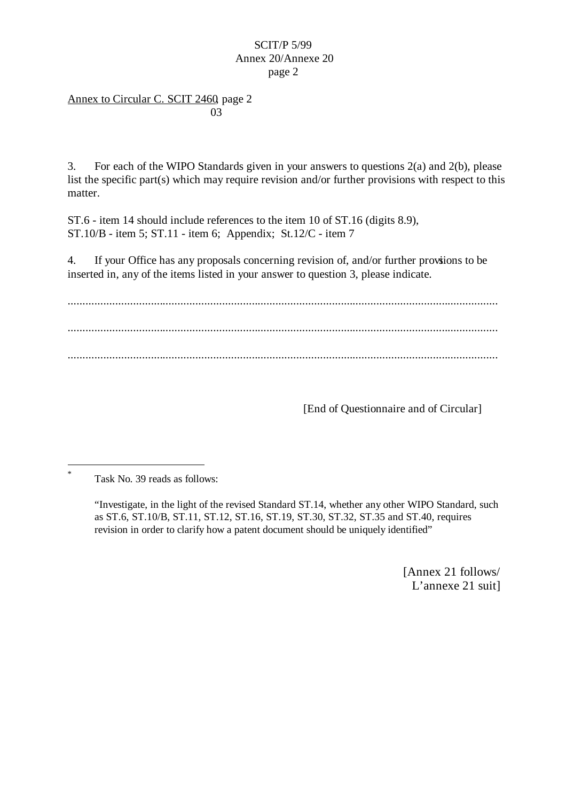## Annex to Circular C. SCIT 2460, page 2 and the contract of the contract of the contract of the contract of the contract of the contract of the contract of the contract of the contract of the contract of the contract of the contract of the contract of the contra

3. For each of the WIPO Standards given in your answers to questions 2(a) and 2(b), please list the specific part(s) which may require revision and/or further provisions with respect to this matter.

ST.6 - item 14 should include references to the item 10 of ST.16 (digits 8.9), ST.10/B - item 5; ST.11 - item 6; Appendix; St.12/C - item 7

4. If your Office has any proposals concerning revision of, and/or further provisions to be inserted in, any of the items listed in your answer to question 3, please indicate.

................................................................................................................................................. ................................................................................................................................................. .................................................................................................................................................

[End of Questionnaire and of Circular]

l

[Annex 21 follows/ L'annexe 21 suit]

<sup>\*</sup> Task No. 39 reads as follows:

<sup>&</sup>quot;Investigate, in the light of the revised Standard ST.14, whether any other WIPO Standard, such as ST.6, ST.10/B, ST.11, ST.12, ST.16, ST.19, ST.30, ST.32, ST.35 and ST.40, requires revision in order to clarify how a patent document should be uniquely identified"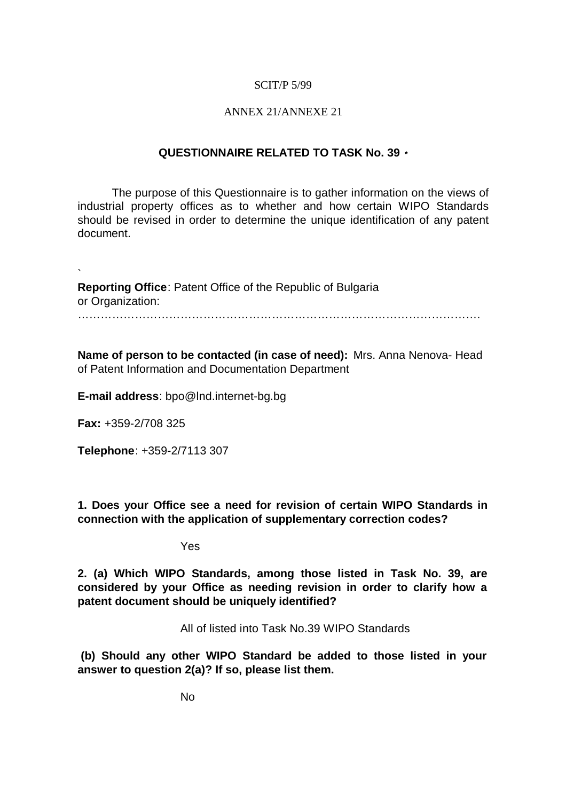## ANNEX 21/ANNEXE 21

## **QUESTIONNAIRE RELATED TO TASK No. 39 \***

The purpose of this Questionnaire is to gather information on the views of industrial property offices as to whether and how certain WIPO Standards should be revised in order to determine the unique identification of any patent document.

` **Reporting Office**: Patent Office of the Republic of Bulgaria or Organization:

…………………………………………………………………………………………… .

**Name of person to be contacted (in case of need):** Mrs. Anna Nenova- Head of Patent Information and Documentation Department

**E-mail address**: bpo@lnd.internet-bg.bg

**Fax:** +359-2/708 325

**Telephone**: +359-2/7113 307

**1. Does your Office see a need for revision of certain WIPO Standards in connection with the application of supplementary correction codes?**

Yes

**2. (a) Which WIPO Standards, among those listed in Task No. 39, are considered by your Office as needing revision in order to clarify how a patent document should be uniquely identified?**

All of listed into Task No.39 WIPO Standards

 **(b) Should any other WIPO Standard be added to those listed in your answer to question 2(a)? If so, please list them.**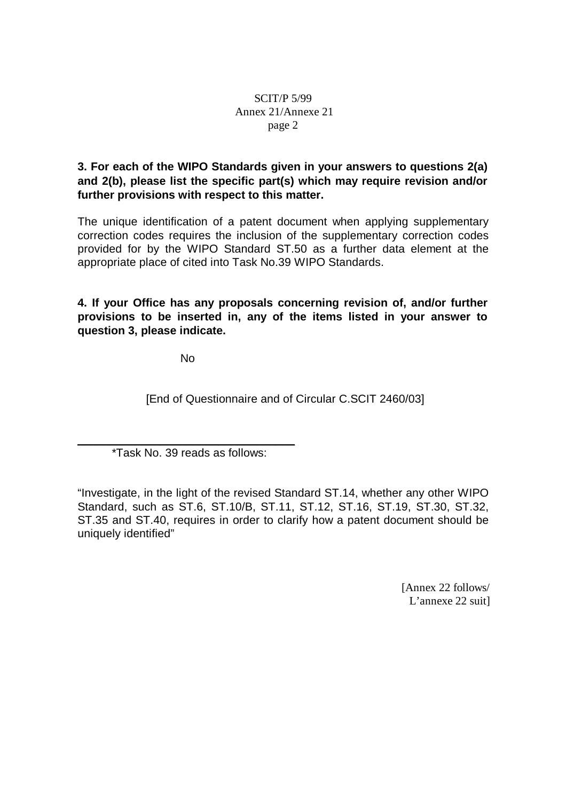# **3. For each of the WIPO Standards given in your answers to questions 2(a) and 2(b), please list the specific part(s) which may require revision and/or further provisions with respect to this matter.**

The unique identification of a patent document when applying supplementary correction codes requires the inclusion of the supplementary correction codes provided for by the WIPO Standard ST.50 as a further data element at the appropriate place of cited into Task No.39 WIPO Standards.

**4. If your Office has any proposals concerning revision of, and/or further provisions to be inserted in, any of the items listed in your answer to question 3, please indicate.**

No

[End of Questionnaire and of Circular C.SCIT 2460/03]

 $\_$  . The contribution of the contribution of  $\mathcal{L}_\mathcal{A}$ \*Task No. 39 reads as follows:

"Investigate, in the light of the revised Standard ST.14, whether any other WIPO Standard, such as ST.6, ST.10/B, ST.11, ST.12, ST.16, ST.19, ST.30, ST.32, ST.35 and ST.40, requires in order to clarify how a patent document should be uniquely identified"

> [Annex 22 follows/ L'annexe 22 suit]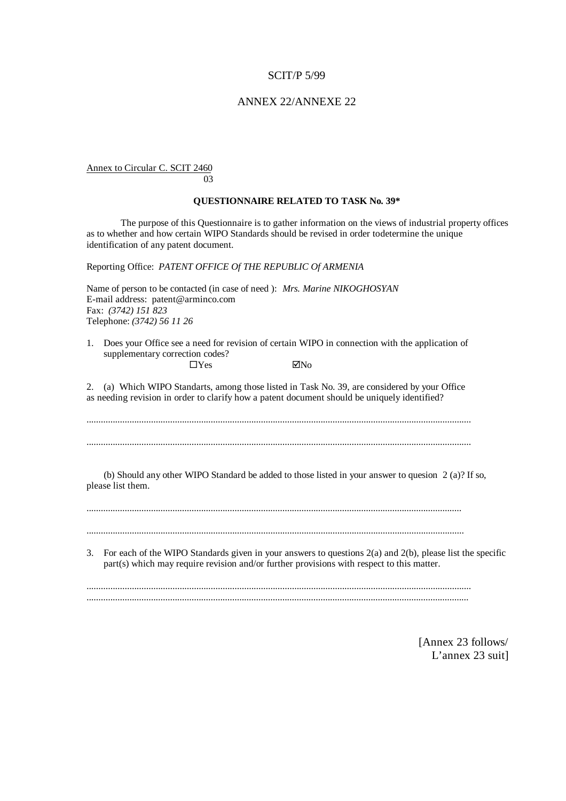#### ANNEX 22/ANNEXE 22

Annex to Circular C. SCIT 2460

#### **QUESTIONNAIRE RELATED TO TASK No. 39\***

The purpose of this Questionnaire is to gather information on the views of industrial property offices as to whether and how certain WIPO Standards should be revised in order to determine the unique identification of any patent document.

Reporting Office: *PATENT OFFICE Of THE REPUBLIC Of ARMENIA*

03

Name of person to be contacted (in case of need ): *Mrs. Marine NIKOGHOSYAN* E-mail address: patent@arminco.com Fax: *(3742) 151 823* Telephone: *(3742) 56 11 26*

1. Does your Office see a need for revision of certain WIPO in connection with the application of supplementary correction codes?  $\Box$  Yes  $\Box$  You

2. (a) Which WIPO Standarts, among those listed in Task No. 39, are considered by your Office as needing revision in order to clarify how a patent document should be uniquely identified?

................................................................................................................................................................. .................................................................................................................................................................

 (b) Should any other WIPO Standard be added to those listed in your answer to quesion 2 (a)? If so, please list them.

.............................................................................................................................................................

..............................................................................................................................................................

3. For each of the WIPO Standards given in your answers to questions 2(a) and 2(b), please list the specific part(s) which may require revision and/or further provisions with respect to this matter.

................................................................................................................................................................. ................................................................................................................................................................

> [Annex 23 follows/ L'annex 23 suit]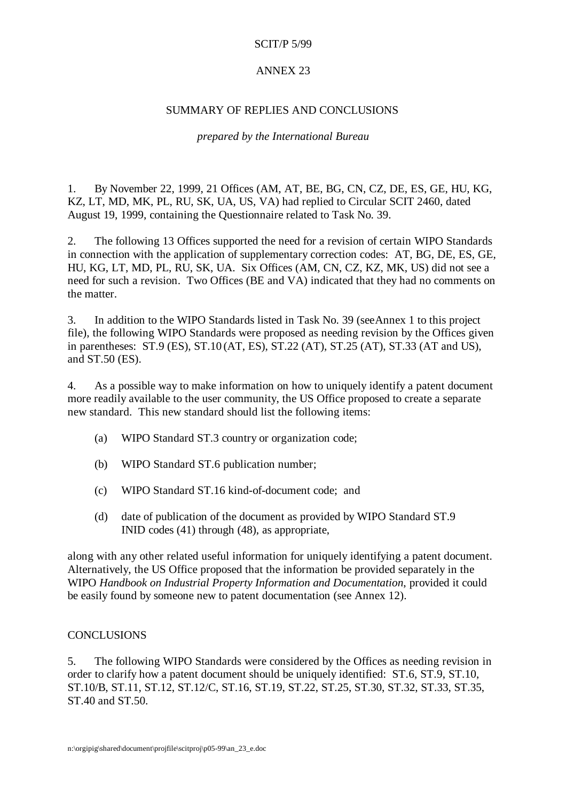## ANNEX 23

## SUMMARY OF REPLIES AND CONCLUSIONS

### *prepared by the International Bureau*

1. By November 22, 1999, 21 Offices (AM, AT, BE, BG, CN, CZ, DE, ES, GE, HU, KG, KZ, LT, MD, MK, PL, RU, SK, UA, US, VA) had replied to Circular SCIT 2460, dated August 19, 1999, containing the Questionnaire related to Task No. 39.

2. The following 13 Offices supported the need for a revision of certain WIPO Standards in connection with the application of supplementary correction codes: AT, BG, DE, ES, GE, HU, KG, LT, MD, PL, RU, SK, UA. Six Offices (AM, CN, CZ, KZ, MK, US) did not see a need for such a revision. Two Offices (BE and VA) indicated that they had no comments on the matter.

3. In addition to the WIPO Standards listed in Task No. 39 (see Annex 1 to this project file), the following WIPO Standards were proposed as needing revision by the Offices given in parentheses: ST.9 (ES), ST.10 (AT, ES), ST.22 (AT), ST.25 (AT), ST.33 (AT and US), and ST.50 (ES).

4. As a possible way to make information on how to uniquely identify a patent document more readily available to the user community, the US Office proposed to create a separate new standard. This new standard should list the following items:

- (a) WIPO Standard ST.3 country or organization code;
- (b) WIPO Standard ST.6 publication number;
- (c) WIPO Standard ST.16 kind-of-document code; and
- (d) date of publication of the document as provided by WIPO Standard ST.9 INID codes (41) through (48), as appropriate,

along with any other related useful information for uniquely identifying a patent document. Alternatively, the US Office proposed that the information be provided separately in the WIPO *Handbook on Industrial Property Information and Documentation*, provided it could be easily found by someone new to patent documentation (see Annex 12).

### **CONCLUSIONS**

5. The following WIPO Standards were considered by the Offices as needing revision in order to clarify how a patent document should be uniquely identified: ST.6, ST.9, ST.10, ST.10/B, ST.11, ST.12, ST.12/C, ST.16, ST.19, ST.22, ST.25, ST.30, ST.32, ST.33, ST.35, ST.40 and ST.50.